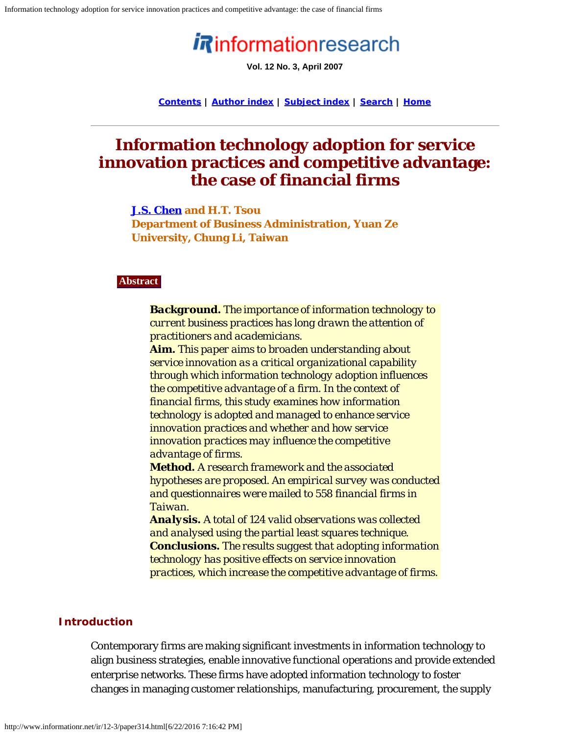# informationresearch

**Vol. 12 No. 3, April 2007**

**[Contents](http://www.informationr.net/ir/12-3/infres123.html) | [Author index](http://www.informationr.net/ir/iraindex.html) | [Subject index](http://www.informationr.net/ir/irsindex.html) | [Search](http://www.informationr.net/ir/search.html) | [Home](http://www.informationr.net/ir/index.html)**

# **Information technology adoption for service innovation practices and competitive advantage: the case of financial firms**

### **[J.S. Chen](mailto:jchen@saturn.yzu.edu.tw) and H.T. Tsou**

**Department of Business Administration, Yuan Ze University, Chung Li, Taiwan**

#### **Abstract**

*Background. The importance of information technology to current business practices has long drawn the attention of practitioners and academicians. Aim. This paper aims to broaden understanding about service innovation as a critical organizational capability through which information technology adoption influences the competitive advantage of a firm. In the context of financial firms, this study examines how information technology is adopted and managed to enhance service innovation practices and whether and how service innovation practices may influence the competitive advantage of firms.*

*Method. A research framework and the associated hypotheses are proposed. An empirical survey was conducted and questionnaires were mailed to 558 financial firms in Taiwan.*

*Analysis. A total of 124 valid observations was collected and analysed using the partial least squares technique. Conclusions. The results suggest that adopting information technology has positive effects on service innovation practices, which increase the competitive advantage of firms.*

# **Introduction**

Contemporary firms are making significant investments in information technology to align business strategies, enable innovative functional operations and provide extended enterprise networks. These firms have adopted information technology to foster changes in managing customer relationships, manufacturing, procurement, the supply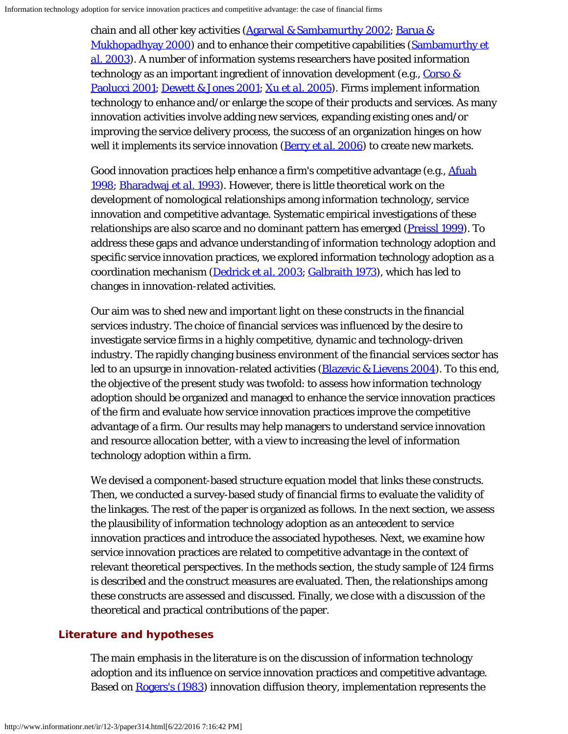chain and all other key activities [\(Agarwal & Sambamurthy 2002](#page-18-0); [Barua &](#page-19-0) [Mukhopadhyay 2000\)](#page-19-0) and to enhance their competitive capabilities [\(Sambamurthy](#page-23-0) *[et](#page-23-0) [al.](#page-23-0)* [2003\)](#page-23-0). A number of information systems researchers have posited information technology as an important ingredient of innovation development (e.g., Corso  $\&$ [Paolucci 2001](#page-20-0); [Dewett & Jones 2001](#page-21-0); [Xu](#page-24-0) *[et al.](#page-24-0)* [2005](#page-24-0)). Firms implement information technology to enhance and/or enlarge the scope of their products and services. As many innovation activities involve adding new services, expanding existing ones and/or improving the service delivery process, the success of an organization hinges on how well it implements its service innovation [\(Berry](#page-19-1) *[et al.](#page-19-1)* [2006](#page-19-1)) to create new markets.

Good innovation practices help enhance a firm's competitive advantage (e.g., [Afuah](#page-18-1) [1998](#page-18-1); [Bharadwaj](#page-19-2) *[et al.](#page-19-2)* [1993](#page-19-2)). However, there is little theoretical work on the development of nomological relationships among information technology, service innovation and competitive advantage. Systematic empirical investigations of these relationships are also scarce and no dominant pattern has emerged [\(Preissl 1999](#page-23-1)). To address these gaps and advance understanding of information technology adoption and specific service innovation practices, we explored information technology adoption as a coordination mechanism [\(Dedrick](#page-21-1) *[et al.](#page-21-1)* [2003](#page-21-1); [Galbraith 1973\)](#page-21-2), which has led to changes in innovation-related activities.

Our aim was to shed new and important light on these constructs in the financial services industry. The choice of financial services was influenced by the desire to investigate service firms in a highly competitive, dynamic and technology-driven industry. The rapidly changing business environment of the financial services sector has led to an upsurge in innovation-related activities  $(B*l*$  aguid  $\&$  Lievens 2004</del>). To this end, the objective of the present study was twofold: to assess how information technology adoption should be organized and managed to enhance the service innovation practices of the firm and evaluate how service innovation practices improve the competitive advantage of a firm. Our results may help managers to understand service innovation and resource allocation better, with a view to increasing the level of information technology adoption within a firm.

We devised a component-based structure equation model that links these constructs. Then, we conducted a survey-based study of financial firms to evaluate the validity of the linkages. The rest of the paper is organized as follows. In the next section, we assess the plausibility of information technology adoption as an antecedent to service innovation practices and introduce the associated hypotheses. Next, we examine how service innovation practices are related to competitive advantage in the context of relevant theoretical perspectives. In the methods section, the study sample of 124 firms is described and the construct measures are evaluated. Then, the relationships among these constructs are assessed and discussed. Finally, we close with a discussion of the theoretical and practical contributions of the paper.

# **Literature and hypotheses**

The main emphasis in the literature is on the discussion of information technology adoption and its influence on service innovation practices and competitive advantage. Based on [Rogers's \(1983](#page-23-2)) innovation diffusion theory, implementation represents the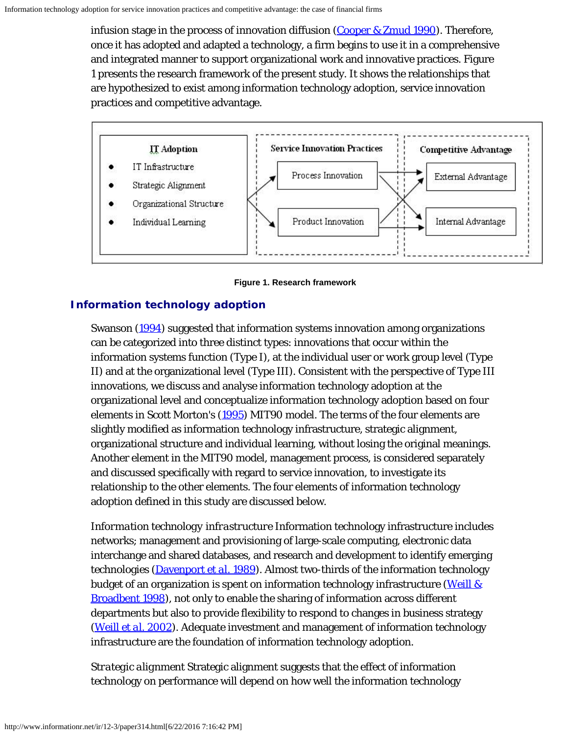infusion stage in the process of innovation diffusion [\(Cooper & Zmud 1990](#page-20-1)). Therefore, once it has adopted and adapted a technology, a firm begins to use it in a comprehensive and integrated manner to support organizational work and innovative practices. Figure 1 presents the research framework of the present study. It shows the relationships that are hypothesized to exist among information technology adoption, service innovation practices and competitive advantage.



**Figure 1. Research framework**

# **Information technology adoption**

Swanson [\(1994](#page-24-1)) suggested that information systems innovation among organizations can be categorized into three distinct types: innovations that occur within the information systems function (Type I), at the individual user or work group level (Type II) and at the organizational level (Type III). Consistent with the perspective of Type III innovations, we discuss and analyse information technology adoption at the organizational level and conceptualize information technology adoption based on four elements in Scott Morton's ([1995](#page-24-2)) MIT90 model. The terms of the four elements are slightly modified as information technology infrastructure, strategic alignment, organizational structure and individual learning, without losing the original meanings. Another element in the MIT90 model, management process, is considered separately and discussed specifically with regard to service innovation, to investigate its relationship to the other elements. The four elements of information technology adoption defined in this study are discussed below.

*Information technology infrastructure* Information technology infrastructure includes networks; management and provisioning of large-scale computing, electronic data interchange and shared databases, and research and development to identify emerging technologies [\(Davenport](#page-20-2) *[et al.](#page-20-2)* [1989](#page-20-2)). Almost two-thirds of the information technology budget of an organization is spent on information technology infrastructure [\(Weill &](#page-24-3) [Broadbent 1998](#page-24-3)), not only to enable the sharing of information across different departments but also to provide flexibility to respond to changes in business strategy [\(Weill](#page-24-4) *[et al.](#page-24-4)* [2002](#page-24-4)). Adequate investment and management of information technology infrastructure are the foundation of information technology adoption.

*Strategic alignment* Strategic alignment suggests that the effect of information technology on performance will depend on how well the information technology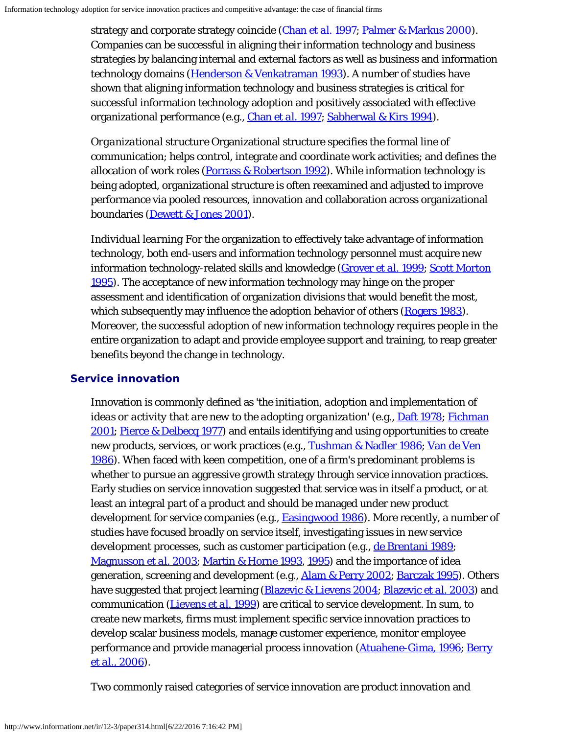strategy and corporate strategy coincide [\(Chan](#page-20-3) *[et al.](#page-20-3)* [1997](#page-20-3); [Palmer & Markus 2000](#page-22-0)). Companies can be successful in aligning their information technology and business strategies by balancing internal and external factors as well as business and information technology domains [\(Henderson & Venkatraman 1993](#page-21-3)). A number of studies have shown that aligning information technology and business strategies is critical for successful information technology adoption and positively associated with effective organizational performance (e.g., [Chan](#page-20-3) *[et al.](#page-20-3)* [1997](#page-20-3); [Sabherwal & Kirs 1994](#page-23-3)).

*Organizational structure* Organizational structure specifies the formal line of communication; helps control, integrate and coordinate work activities; and defines the allocation of work roles [\(Porrass & Robertson 1992](#page-23-4)). While information technology is being adopted, organizational structure is often reexamined and adjusted to improve performance via pooled resources, innovation and collaboration across organizational boundaries ([Dewett & Jones 2001](#page-21-0)).

*Individual learning* For the organization to effectively take advantage of information technology, both end-users and information technology personnel must acquire new information technology-related skills and knowledge [\(Grover](#page-21-4) *[et al.](#page-21-4)* [1999](#page-21-4); [Scott Morton](#page-24-2) [1995](#page-24-2)). The acceptance of new information technology may hinge on the proper assessment and identification of organization divisions that would benefit the most, which subsequently may influence the adoption behavior of others [\(Rogers 1983](#page-23-2)). Moreover, the successful adoption of new information technology requires people in the entire organization to adapt and provide employee support and training, to reap greater benefits beyond the change in technology.

# **Service innovation**

Innovation is commonly defined as '*the initiation, adoption and implementation of ideas or activity that are new to the adopting organization'* (e.g., **Daft 1978**; [Fichman](#page-21-5) [2001;](#page-21-5) [Pierce & Delbecq 1977](#page-23-5)) and entails identifying and using opportunities to create new products, services, or work practices (e.g., [Tushman & Nadler 1986](#page-24-5); [Van de Ven](#page-24-6) [1986](#page-24-6)). When faced with keen competition, one of a firm's predominant problems is whether to pursue an aggressive growth strategy through service innovation practices. Early studies on service innovation suggested that service was in itself a product, or at least an integral part of a product and should be managed under new product development for service companies (e.g., **Easingwood 1986**). More recently, a number of studies have focused broadly on service itself, investigating issues in new service development processes, such as customer participation (e.g., [de Brentani 1989](#page-21-7); [Magnusson](#page-22-1) *[et al.](#page-22-1)* [2003](#page-22-1); [Martin & Horne 1993](#page-22-2), [1995](#page-22-3)) and the importance of idea generation, screening and development (e.g., *Alam & Perry 2002; Barczak 1995*). Others have suggested that project learning ([Blazevic & Lievens 2004](#page-19-3); [Blazevic](#page-19-5) *[et al.](#page-19-5)* [2003](#page-19-5)) and communication [\(Lievens](#page-22-4) *[et al.](#page-22-4)* [1999](#page-22-4)) are critical to service development. In sum, to create new markets, firms must implement specific service innovation practices to develop scalar business models, manage customer experience, monitor employee performance and provide managerial process innovation [\(Atuahene-Gima, 1996](#page-18-3); [Berry](#page-19-1) *[et al.](#page-19-1)*[, 2006\)](#page-19-1).

Two commonly raised categories of service innovation are product innovation and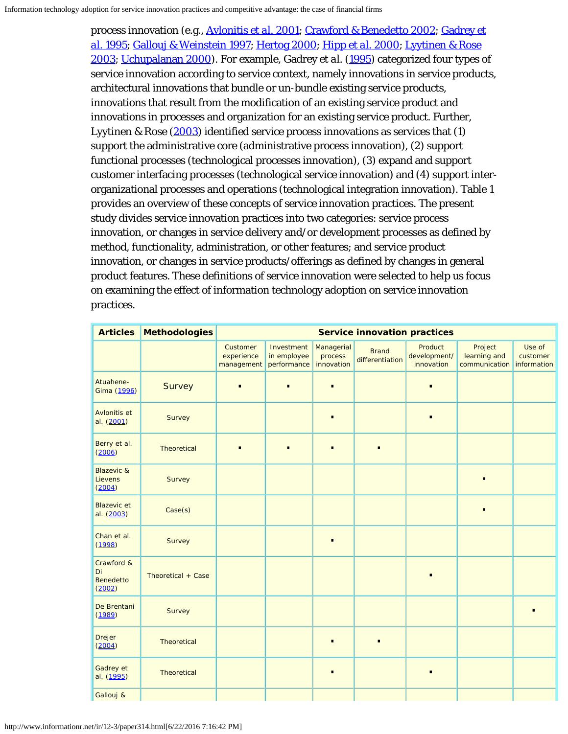process innovation (e.g., [Avlonitis](#page-18-4) *[et al.](#page-18-4)* [2001;](#page-18-4) [Crawford & Benedetto 2002](#page-20-5); [Gadrey](#page-21-8) *[et](#page-21-8) [al.](#page-21-8)* [1995;](#page-21-8) [Gallouj & Weinstein 1997;](#page-21-9) [Hertog 2000](#page-21-10); [Hipp](#page-22-5) *[et al.](#page-22-5)* [2000](#page-22-5); [Lyytinen & Rose](#page-22-6) [2003](#page-22-6); [Uchupalanan 2000](#page-24-7)). For example, Gadrey *et al.* [\(1995](#page-21-8)) categorized four types of service innovation according to service context, namely innovations in service products, architectural innovations that bundle or un-bundle existing service products, innovations that result from the modification of an existing service product and innovations in processes and organization for an existing service product. Further, Lyytinen & Rose [\(2003](#page-22-6)) identified service process innovations as services that (1) support the administrative core (administrative process innovation), (2) support functional processes (technological processes innovation), (3) expand and support customer interfacing processes (technological service innovation) and (4) support interorganizational processes and operations (technological integration innovation). Table 1 provides an overview of these concepts of service innovation practices. The present study divides service innovation practices into two categories: service process innovation, or changes in service delivery and/or development processes as defined by method, functionality, administration, or other features; and service product innovation, or changes in service products/offerings as defined by changes in general product features. These definitions of service innovation were selected to help us focus on examining the effect of information technology adoption on service innovation practices.

| <b>Articles</b>                                | <b>Methodologies</b> |                                      |                                          |                                     | <b>Service innovation practices</b> |                                       |                                          |                                   |
|------------------------------------------------|----------------------|--------------------------------------|------------------------------------------|-------------------------------------|-------------------------------------|---------------------------------------|------------------------------------------|-----------------------------------|
|                                                |                      | Customer<br>experience<br>management | Investment<br>in employee<br>performance | Managerial<br>process<br>innovation | <b>Brand</b><br>differentiation     | Product<br>development/<br>innovation | Project<br>learning and<br>communication | Use of<br>customer<br>information |
| Atuahene-<br>Gima (1996)                       | Survey               | $\bullet$                            | $\bullet$                                | $\bullet$                           |                                     | $\bullet$                             |                                          |                                   |
| Avlonitis et<br>al. (2001)                     | Survey               |                                      |                                          | $\bullet$                           |                                     | $\bullet$                             |                                          |                                   |
| Berry et al.<br>(2006)                         | Theoretical          |                                      | $\bullet$                                | $\bullet$                           |                                     |                                       |                                          |                                   |
| <b>Blazevic &amp;</b><br>Lievens<br>(2004)     | Survey               |                                      |                                          |                                     |                                     |                                       | $\bullet$                                |                                   |
| <b>Blazevic</b> et<br>al. (2003)               | Case(s)              |                                      |                                          |                                     |                                     |                                       | $\bullet$                                |                                   |
| Chan et al.<br>(1998)                          | Survey               |                                      |                                          | $\bullet$                           |                                     |                                       |                                          |                                   |
| Crawford &<br>Di<br><b>Benedetto</b><br>(2002) | Theoretical + Case   |                                      |                                          |                                     |                                     |                                       |                                          |                                   |
| De Brentani<br>(1989)                          | Survey               |                                      |                                          |                                     |                                     |                                       |                                          |                                   |
| <b>Drejer</b><br>(2004)                        | Theoretical          |                                      |                                          | $\bullet$                           |                                     |                                       |                                          |                                   |
| Gadrey et<br>al. (1995)                        | Theoretical          |                                      |                                          | $\bullet$                           |                                     | $\bullet$                             |                                          |                                   |
| Gallouj &                                      |                      |                                      |                                          |                                     |                                     |                                       |                                          |                                   |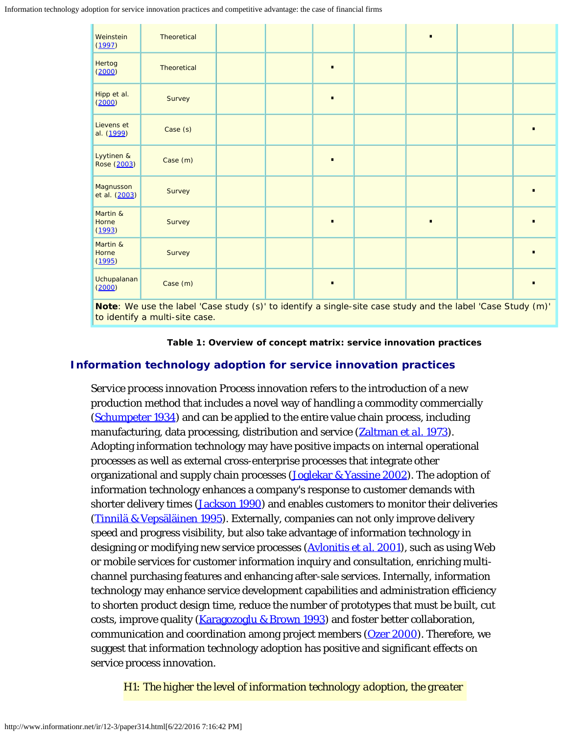Information technology adoption for service innovation practices and competitive advantage: the case of financial firms

| Weinstein<br>(1997)                                                                                           | Theoretical |  |  |           |  |  |  |  |  |  |
|---------------------------------------------------------------------------------------------------------------|-------------|--|--|-----------|--|--|--|--|--|--|
| Hertog<br>(2000)                                                                                              | Theoretical |  |  | $\bullet$ |  |  |  |  |  |  |
| Hipp et al.<br>(2000)                                                                                         | Survey      |  |  | $\bullet$ |  |  |  |  |  |  |
| Lievens et<br>al. (1999)                                                                                      | Case (s)    |  |  |           |  |  |  |  |  |  |
| Lyytinen &<br>Rose (2003)                                                                                     | Case (m)    |  |  | $\bullet$ |  |  |  |  |  |  |
| Magnusson<br>et al. (2003)                                                                                    | Survey      |  |  |           |  |  |  |  |  |  |
| Martin &<br>Horne<br>(1993)                                                                                   | Survey      |  |  | $\bullet$ |  |  |  |  |  |  |
| Martin &<br>Horne<br>(1995)                                                                                   | Survey      |  |  |           |  |  |  |  |  |  |
| Uchupalanan<br>(2000)                                                                                         | Case (m)    |  |  |           |  |  |  |  |  |  |
| Nata $M_2$ use the label 'Cese study (s)' to identify a single site sees study and the label 'Cese Study (m)' |             |  |  |           |  |  |  |  |  |  |

*Note*: We use the label 'Case study (s)' to identify a single-site case study and the label 'Case Study (m)' to identify a multi-site case.

**Table 1: Overview of concept matrix: service innovation practices**

### **Information technology adoption for service innovation practices**

*Service process innovation* Process innovation refers to the introduction of a new production method that includes a novel way of handling a commodity commercially [\(Schumpeter 1934](#page-23-6)) and can be applied to the entire value chain process, including manufacturing, data processing, distribution and service ([Zaltman](#page-25-0) *[et al.](#page-25-0)* [1973](#page-25-0)). Adopting information technology may have positive impacts on internal operational processes as well as external cross-enterprise processes that integrate other organizational and supply chain processes (*Joglekar & Yassine 2002*). The adoption of information technology enhances a company's response to customer demands with shorter delivery times (*[Jackson 1990](#page-22-8)*) and enables customers to monitor their deliveries [\(Tinnilä & Vepsäläinen 1995](#page-24-8)). Externally, companies can not only improve delivery speed and progress visibility, but also take advantage of information technology in designing or modifying new service processes [\(Avlonitis](#page-18-4) *[et al.](#page-18-4)* [2001\)](#page-18-4), such as using Web or mobile services for customer information inquiry and consultation, enriching multichannel purchasing features and enhancing after-sale services. Internally, information technology may enhance service development capabilities and administration efficiency to shorten product design time, reduce the number of prototypes that must be built, cut costs, improve quality [\(Karagozoglu & Brown 1993](#page-22-9)) and foster better collaboration, communication and coordination among project members [\(Ozer 2000](#page-22-10)). Therefore, we suggest that information technology adoption has positive and significant effects on service process innovation.

*H1: The higher the level of information technology adoption, the greater*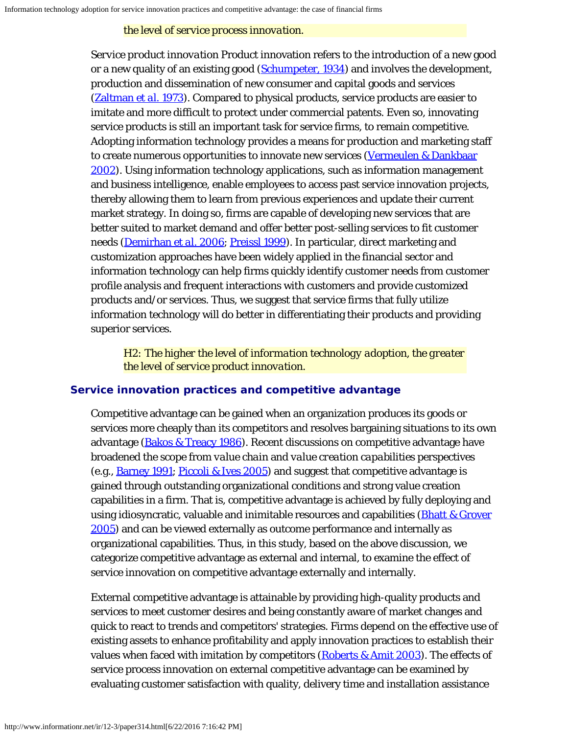### *the level of service process innovation.*

*Service product innovation* Product innovation refers to the introduction of a new good or a new quality of an existing good [\(Schumpeter, 1934](#page-23-6)) and involves the development, production and dissemination of new consumer and capital goods and services [\(Zaltman](#page-25-0) *[et al.](#page-25-0)* [1973](#page-25-0)). Compared to physical products, service products are easier to imitate and more difficult to protect under commercial patents. Even so, innovating service products is still an important task for service firms, to remain competitive. Adopting information technology provides a means for production and marketing staff to create numerous opportunities to innovate new services [\(Vermeulen & Dankbaar](#page-24-9) [2002](#page-24-9)). Using information technology applications, such as information management and business intelligence, enable employees to access past service innovation projects, thereby allowing them to learn from previous experiences and update their current market strategy. In doing so, firms are capable of developing new services that are better suited to market demand and offer better post-selling services to fit customer needs [\(Demirhan](#page-21-12) *[et al.](#page-21-12)* [2006](#page-21-12); [Preissl 1999](#page-23-1)). In particular, direct marketing and customization approaches have been widely applied in the financial sector and information technology can help firms quickly identify customer needs from customer profile analysis and frequent interactions with customers and provide customized products and/or services. Thus, we suggest that service firms that fully utilize information technology will do better in differentiating their products and providing superior services.

*H2: The higher the level of information technology adoption, the greater the level of service product innovation.*

# **Service innovation practices and competitive advantage**

Competitive advantage can be gained when an organization produces its goods or services more cheaply than its competitors and resolves bargaining situations to its own advantage ([Bakos & Treacy 1986](#page-19-6)). Recent discussions on competitive advantage have broadened the scope from *value chain* and *value creation capabilities* perspectives (e.g., [Barney 1991](#page-19-7); [Piccoli & Ives 2005](#page-23-7)) and suggest that competitive advantage is gained through outstanding organizational conditions and strong value creation capabilities in a firm. That is, competitive advantage is achieved by fully deploying and using idiosyncratic, valuable and inimitable resources and capabilities (**[Bhatt & Grover](#page-19-8)**) [2005\)](#page-19-8) and can be viewed externally as outcome performance and internally as organizational capabilities. Thus, in this study, based on the above discussion, we categorize competitive advantage as external and internal, to examine the effect of service innovation on competitive advantage externally and internally.

External competitive advantage is attainable by providing high-quality products and services to meet customer desires and being constantly aware of market changes and quick to react to trends and competitors' strategies. Firms depend on the effective use of existing assets to enhance profitability and apply innovation practices to establish their values when faced with imitation by competitors [\(Roberts & Amit 2003](#page-23-8)). The effects of service process innovation on external competitive advantage can be examined by evaluating customer satisfaction with quality, delivery time and installation assistance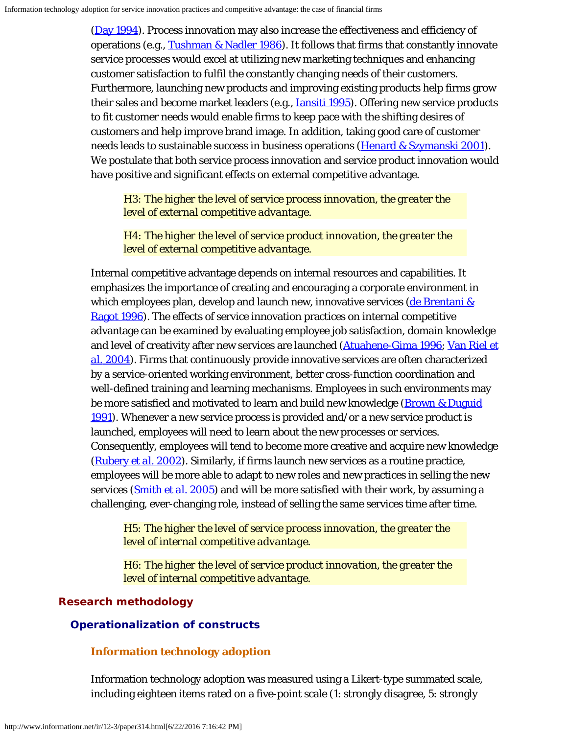[\(Day 1994](#page-20-7)). Process innovation may also increase the effectiveness and efficiency of operations (e.g., [Tushman & Nadler 1986](#page-24-5)). It follows that firms that constantly innovate service processes would excel at utilizing new marketing techniques and enhancing customer satisfaction to fulfil the constantly changing needs of their customers. Furthermore, launching new products and improving existing products help firms grow their sales and become market leaders (e.g., *[Iansiti 1995](#page-22-11)*). Offering new service products to fit customer needs would enable firms to keep pace with the shifting desires of customers and help improve brand image. In addition, taking good care of customer needs leads to sustainable success in business operations ([Henard & Szymanski 2001\)](#page-21-13). We postulate that both service process innovation and service product innovation would have positive and significant effects on external competitive advantage.

*H3: The higher the level of service process innovation, the greater the level of external competitive advantage.*

*H4: The higher the level of service product innovation, the greater the level of external competitive advantage.*

Internal competitive advantage depends on internal resources and capabilities. It emphasizes the importance of creating and encouraging a corporate environment in which employees plan, develop and launch new, innovative services (de Brentani  $\&$ [Ragot 1996](#page-20-8)). The effects of service innovation practices on internal competitive advantage can be examined by evaluating employee job satisfaction, domain knowledge and level of creativity after new services are launched ([Atuahene-Gima 1996](#page-18-3); [Van Riel](#page-24-10) *[et](#page-24-10) [al.](#page-24-10)* [2004\)](#page-24-10). Firms that continuously provide innovative services are often characterized by a service-oriented working environment, better cross-function coordination and well-defined training and learning mechanisms. Employees in such environments may be more satisfied and motivated to learn and build new knowledge [\(Brown & Duguid](#page-19-9) [1991](#page-19-9)). Whenever a new service process is provided and/or a new service product is launched, employees will need to learn about the new processes or services. Consequently, employees will tend to become more creative and acquire new knowledge [\(Rubery](#page-23-9) *[et al.](#page-23-9)* [2002](#page-23-9)). Similarly, if firms launch new services as a routine practice, employees will be more able to adapt to new roles and new practices in selling the new services [\(Smith](#page-24-11) *[et al.](#page-24-11)* [2005](#page-24-11)) and will be more satisfied with their work, by assuming a challenging, ever-changing role, instead of selling the same services time after time.

*H5: The higher the level of service process innovation, the greater the level of internal competitive advantage.*

*H6: The higher the level of service product innovation, the greater the level of internal competitive advantage.*

# **Research methodology**

# **Operationalization of constructs**

# **Information technology adoption**

Information technology adoption was measured using a Likert-type summated scale, including eighteen items rated on a five-point scale (1: strongly disagree, 5: strongly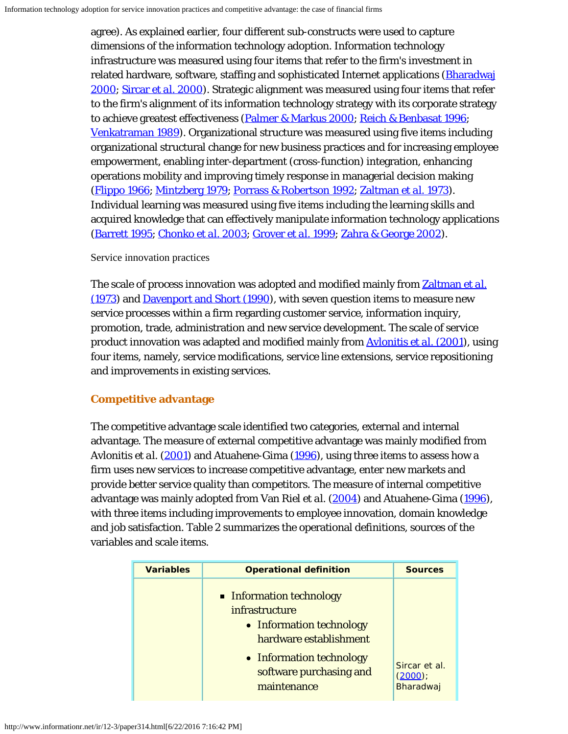agree). As explained earlier, four different sub-constructs were used to capture dimensions of the information technology adoption. Information technology infrastructure was measured using four items that refer to the firm's investment in related hardware, software, staffing and sophisticated Internet applications [\(Bharadwaj](#page-19-10) [2000;](#page-19-10) [Sircar](#page-24-12) *[et al.](#page-24-12)* [2000](#page-24-12)). Strategic alignment was measured using four items that refer to the firm's alignment of its information technology strategy with its corporate strategy to achieve greatest effectiveness [\(Palmer & Markus 2000](#page-22-0); [Reich & Benbasat 1996](#page-23-10); [Venkatraman 1989](#page-24-13)). Organizational structure was measured using five items including organizational structural change for new business practices and for increasing employee empowerment, enabling inter-department (cross-function) integration, enhancing operations mobility and improving timely response in managerial decision making [\(Flippo 1966](#page-21-14); [Mintzberg 1979](#page-22-12); [Porrass & Robertson 1992](#page-23-4); [Zaltman](#page-25-0) *[et al.](#page-25-0)* [1973](#page-25-0)). Individual learning was measured using five items including the learning skills and acquired knowledge that can effectively manipulate information technology applications [\(Barrett 1995](#page-19-11); [Chonko](#page-20-9) *[et al.](#page-20-9)* [2003;](#page-20-9) [Grover](#page-21-4) *[et al.](#page-21-4)* [1999](#page-21-4); [Zahra & George 2002](#page-25-1)).

#### Service innovation practices

The scale of process innovation was adopted and modified mainly from [Zaltman](#page-25-0) *[et al.](#page-25-0)* [\(1973](#page-25-0)) and [Davenport and Short \(1990\)](#page-20-10), with seven question items to measure new service processes within a firm regarding customer service, information inquiry, promotion, trade, administration and new service development. The scale of service product innovation was adapted and modified mainly from [Avlonitis](#page-18-4) *[et al.](#page-18-4)* [\(2001](#page-18-4)), using four items, namely, service modifications, service line extensions, service repositioning and improvements in existing services.

## **Competitive advantage**

The competitive advantage scale identified two categories, external and internal advantage. The measure of external competitive advantage was mainly modified from Avlonitis *et al.* [\(2001](#page-18-4)) and Atuahene-Gima [\(1996](#page-18-3)), using three items to assess how a firm uses new services to increase competitive advantage, enter new markets and provide better service quality than competitors. The measure of internal competitive advantage was mainly adopted from Van Riel *et al.* [\(2004](#page-24-10)) and Atuahene-Gima ([1996\)](#page-18-3), with three items including improvements to employee innovation, domain knowledge and job satisfaction. Table 2 summarizes the operational definitions, sources of the variables and scale items.

| <b>Variables</b> | <b>Operational definition</b>                                                                                                                           | <b>Sources</b>      |
|------------------|---------------------------------------------------------------------------------------------------------------------------------------------------------|---------------------|
|                  | • Information technology<br>infrastructure<br>• Information technology<br>hardware establishment<br>• Information technology<br>software purchasing and | Sircar et al.       |
|                  | maintenance                                                                                                                                             | (2000)<br>Bharadwaj |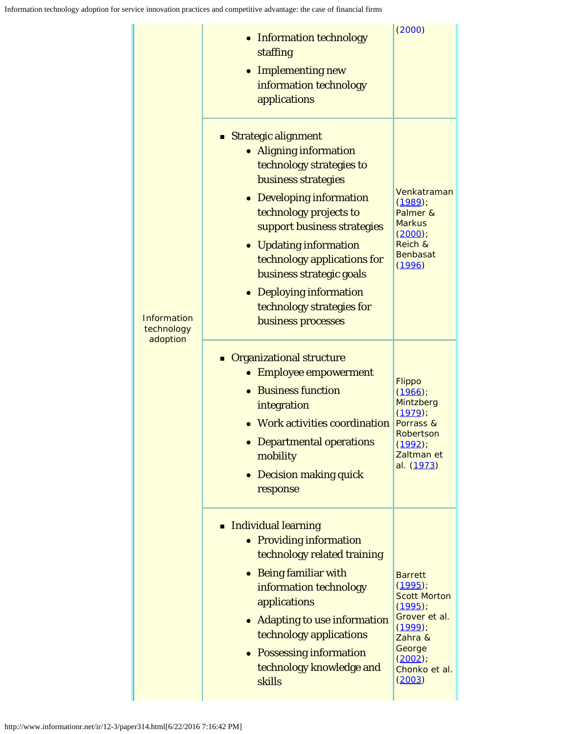| Information<br>technology<br>adoption | • Information technology<br>staffing<br>• Implementing new<br>information technology<br>applications                                                                                                                                                                                                                                                       | (2000)                                                                                                                                                 |
|---------------------------------------|------------------------------------------------------------------------------------------------------------------------------------------------------------------------------------------------------------------------------------------------------------------------------------------------------------------------------------------------------------|--------------------------------------------------------------------------------------------------------------------------------------------------------|
|                                       | ■ Strategic alignment<br>• Aligning information<br>technology strategies to<br>business strategies<br>• Developing information<br>technology projects to<br>support business strategies<br>• Updating information<br>technology applications for<br>business strategic goals<br>• Deploying information<br>technology strategies for<br>business processes | Venkatraman<br>(1989)<br>Palmer &<br><b>Markus</b><br>(2000)<br>Reich &<br><b>Benbasat</b><br>(1996)                                                   |
|                                       | <b>Organizational structure</b><br>• Employee empowerment<br>• Business function<br>integration<br>• Work activities coordination<br>• Departmental operations<br>mobility<br>• Decision making quick<br>response                                                                                                                                          | Flippo<br>(1966)<br>Mintzberg<br>(1979)<br>Porrass &<br>Robertson<br>$(1992)$ ;<br>Zaltman et<br>al. (1973)                                            |
|                                       | Individual learning<br>• Providing information<br>technology related training<br>• Being familiar with<br>information technology<br>applications<br>• Adapting to use information<br>technology applications<br>• Possessing information<br>technology knowledge and<br>skills                                                                             | <b>Barrett</b><br>$(1995)$ ;<br><b>Scott Morton</b><br>$(1995)$ ;<br>Grover et al.<br>(1999)<br>Zahra &<br>George<br>(2002)<br>Chonko et al.<br>(2003) |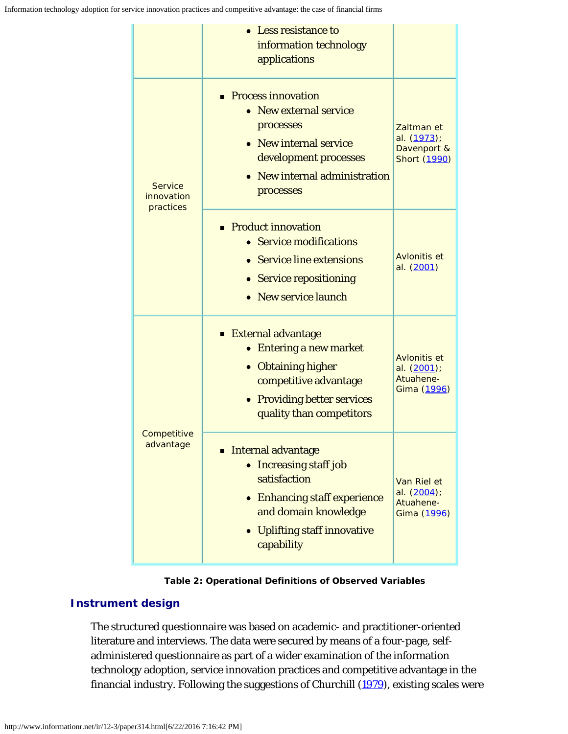|                                           | • Less resistance to<br>information technology<br>applications                                                                                                                                         |                                                          |
|-------------------------------------------|--------------------------------------------------------------------------------------------------------------------------------------------------------------------------------------------------------|----------------------------------------------------------|
| <b>Service</b><br>innovation<br>practices | • Process innovation<br>• New external service<br>processes<br>• New internal service<br>development processes<br>• New internal administration<br>processes                                           | Zaltman et<br>al. (1973);<br>Davenport &<br>Short (1990) |
|                                           | • Product innovation<br>• Service modifications<br>• Service line extensions<br>• Service repositioning<br>• New service launch                                                                        | Avlonitis et<br>al. (2001)                               |
| Competitive<br>advantage                  | <b>External advantage</b><br><b>Entering a new market</b><br>• Obtaining higher<br>competitive advantage<br>• Providing better services<br>quality than competitors                                    | Avlonitis et<br>al. (2001);<br>Atuahene-<br>Gima (1996)  |
|                                           | <b>Internal advantage</b><br><b>Increasing staff job</b><br>$\bullet$<br>satisfaction<br>• Enhancing staff experience<br>and domain knowledge<br>Uplifting staff innovative<br>$\bullet$<br>capability | Van Riel et<br>al. (2004);<br>Atuahene-<br>Gima (1996)   |

**Table 2: Operational Definitions of Observed Variables**

# **Instrument design**

The structured questionnaire was based on academic- and practitioner-oriented literature and interviews. The data were secured by means of a four-page, selfadministered questionnaire as part of a wider examination of the information technology adoption, service innovation practices and competitive advantage in the financial industry. Following the suggestions of Churchill [\(1979](#page-20-11)), existing scales were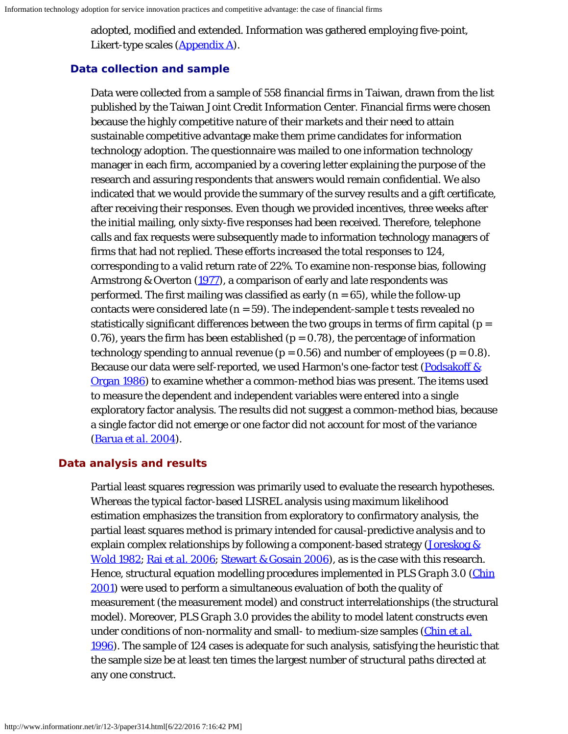adopted, modified and extended. Information was gathered employing five-point, Likert-type scales ([Appendix A](#page-27-0)).

# **Data collection and sample**

Data were collected from a sample of 558 financial firms in Taiwan, drawn from the list published by the Taiwan Joint Credit Information Center. Financial firms were chosen because the highly competitive nature of their markets and their need to attain sustainable competitive advantage make them prime candidates for information technology adoption. The questionnaire was mailed to one information technology manager in each firm, accompanied by a covering letter explaining the purpose of the research and assuring respondents that answers would remain confidential. We also indicated that we would provide the summary of the survey results and a gift certificate, after receiving their responses. Even though we provided incentives, three weeks after the initial mailing, only sixty-five responses had been received. Therefore, telephone calls and fax requests were subsequently made to information technology managers of firms that had not replied. These efforts increased the total responses to 124, corresponding to a valid return rate of 22%. To examine non-response bias, following Armstrong & Overton [\(1977](#page-18-5)), a comparison of early and late respondents was performed. The first mailing was classified as early  $(n = 65)$ , while the follow-up contacts were considered late  $(n = 59)$ . The independent-sample t tests revealed no statistically significant differences between the two groups in terms of firm capital ( $p =$ 0.76), years the firm has been established ( $p = 0.78$ ), the percentage of information technology spending to annual revenue ( $p = 0.56$ ) and number of employees ( $p = 0.8$ ). Because our data were self-reported, we used Harmon's one-factor test [\(Podsakoff &](#page-23-11) [Organ 1986](#page-23-11)) to examine whether a common-method bias was present. The items used to measure the dependent and independent variables were entered into a single exploratory factor analysis. The results did not suggest a common-method bias, because a single factor did not emerge or one factor did not account for most of the variance [\(Barua](#page-19-12) *[et al.](#page-19-12)* [2004](#page-19-12)).

## **Data analysis and results**

Partial least squares regression was primarily used to evaluate the research hypotheses. Whereas the typical factor-based LISREL analysis using maximum likelihood estimation emphasizes the transition from exploratory to confirmatory analysis, the partial least squares method is primary intended for causal-predictive analysis and to explain complex relationships by following a component-based strategy ( $Joreskog &$ [Wold 1982;](#page-22-13) [Rai](#page-23-12) *[et al.](#page-23-12)* [2006](#page-23-12); [Stewart & Gosain 2006](#page-24-14)), as is the case with this research. Hence, structural equation modelling procedures implemented in *PLS Graph 3.0* [\(Chin](#page-20-12) [2001\)](#page-20-12) were used to perform a simultaneous evaluation of both the quality of measurement (the measurement model) and construct interrelationships (the structural model). Moreover, *PLS Graph 3.0* provides the ability to model latent constructs even under conditions of non-normality and small- to medium-size samples (*Chin [et al.](#page-20-13)* [1996\)](#page-20-13). The sample of 124 cases is adequate for such analysis, satisfying the heuristic that the sample size be at least ten times the largest number of structural paths directed at any one construct.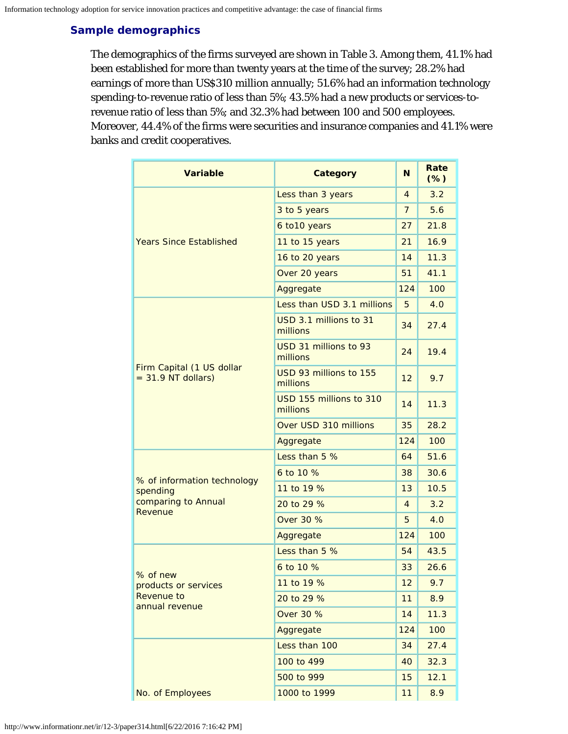# **Sample demographics**

The demographics of the firms surveyed are shown in Table 3. Among them, 41.1% had been established for more than twenty years at the time of the survey; 28.2% had earnings of more than US\$310 million annually; 51.6% had an information technology spending-to-revenue ratio of less than 5%; 43.5% had a new products or services-torevenue ratio of less than 5%; and 32.3% had between 100 and 500 employees. Moreover, 44.4% of the firms were securities and insurance companies and 41.1% were banks and credit cooperatives.

| <b>Variable</b>                                   | <b>Category</b>                     | N              | Rate<br>$(\%)$ |
|---------------------------------------------------|-------------------------------------|----------------|----------------|
|                                                   | Less than 3 years                   | 4              | 3.2            |
|                                                   | 3 to 5 years                        | $\overline{7}$ | 5.6            |
|                                                   | 6 to 10 years                       | 27             | 21.8           |
| <b>Years Since Established</b>                    | 11 to 15 years                      | 21             | 16.9           |
|                                                   | 16 to 20 years                      | 14             | 11.3           |
|                                                   | Over 20 years                       | 51             | 41.1           |
|                                                   | Aggregate                           | 124            | 100            |
|                                                   | Less than USD 3.1 millions          | 5              | 4.0            |
|                                                   | USD 3.1 millions to 31<br>millions  | 34             | 27.4           |
|                                                   | USD 31 millions to 93<br>millions   | 24             | 19.4           |
| Firm Capital (1 US dollar<br>$= 31.9$ NT dollars) | USD 93 millions to 155<br>millions  | 12             | 9.7            |
|                                                   | USD 155 millions to 310<br>millions | 14             | 11.3           |
|                                                   | Over USD 310 millions               | 35             | 28.2           |
|                                                   | Aggregate                           | 124            | 100            |
|                                                   | Less than 5 %                       | 64             | 51.6           |
| % of information technology                       | 6 to 10 %                           | 38             | 30.6           |
| spending                                          | 11 to 19 %                          | 13             | 10.5           |
| comparing to Annual<br>Revenue                    | 20 to 29 %                          | $\overline{4}$ | 3.2            |
|                                                   | <b>Over 30 %</b>                    | 5              | 4.0            |
|                                                   | Aggregate                           | 124            | 100            |
|                                                   | Less than 5 %                       | 54             | 43.5           |
| % of new                                          | 6 to 10 %                           | 33             | 26.6           |
| products or services                              | 11 to 19 %                          | 12             | 9.7            |
| Revenue to<br>annual revenue                      | 20 to 29 %                          | 11             | 8.9            |
|                                                   | <b>Over 30 %</b>                    | 14             | 11.3           |
|                                                   | Aggregate                           | 124            | 100            |
|                                                   | Less than 100                       | 34             | 27.4           |
|                                                   | 100 to 499                          | 40             | 32.3           |
|                                                   | 500 to 999                          | 15             | 12.1           |
| No. of Employees                                  | 1000 to 1999                        | 11             | 8.9            |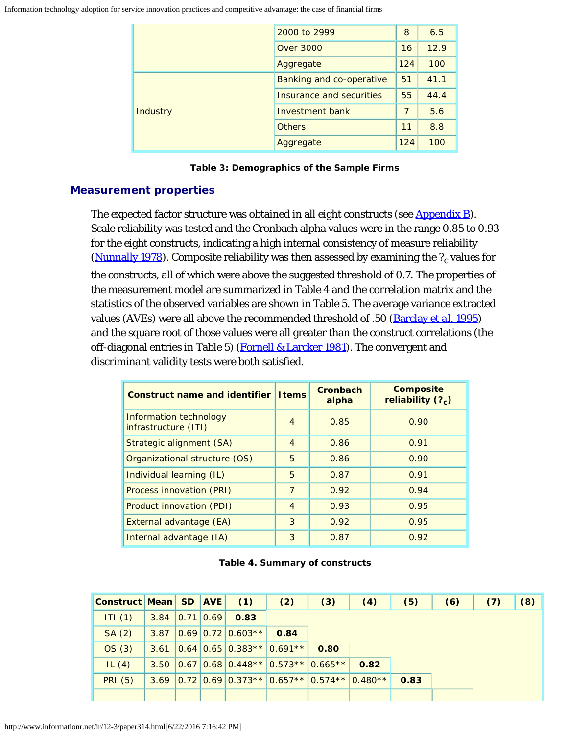Information technology adoption for service innovation practices and competitive advantage: the case of financial firms

|          | 2000 to 2999             | 8   | 6.5  |
|----------|--------------------------|-----|------|
|          | <b>Over 3000</b>         | 16  | 12.9 |
|          | Aggregate                | 124 | 100  |
|          | Banking and co-operative | 51  | 41.1 |
|          | Insurance and securities | 55  | 44.4 |
| Industry | Investment bank          | 7   | 5.6  |
|          | <b>Others</b>            | 11  | 8.8  |
|          | Aggregate                | 124 | 100  |

# **Measurement properties**

The expected factor structure was obtained in all eight constructs (see [Appendix B](#page-28-0)). Scale reliability was tested and the Cronbach alpha values were in the range 0.85 to 0.93 for the eight constructs, indicating a high internal consistency of measure reliability [\(Nunnally 1978](#page-22-14)). Composite reliability was then assessed by examining the  $?_c$  values for the constructs, all of which were above the suggested threshold of 0.7. The properties of the measurement model are summarized in Table 4 and the correlation matrix and the statistics of the observed variables are shown in Table 5. The average variance extracted values (AVEs) were all above the recommended threshold of .50 [\(Barclay](#page-19-13) *[et al.](#page-19-13)* [1995](#page-19-13)) and the square root of those values were all greater than the construct correlations (the off-diagonal entries in Table 5) [\(Fornell & Larcker 1981](#page-21-15)). The convergent and discriminant validity tests were both satisfied.

| <b>Construct name and identifier I tems</b>    |                | Cronbach<br>alpha | <b>Composite</b><br>reliability (?) |
|------------------------------------------------|----------------|-------------------|-------------------------------------|
| Information technology<br>infrastructure (ITI) | $\overline{4}$ | 0.85              | 0.90                                |
| Strategic alignment (SA)                       | $\overline{4}$ | 0.86              | 0.91                                |
| Organizational structure (OS)                  | 5              | 0.86              | 0.90                                |
| Individual learning (IL)                       | 5              | 0.87              | 0.91                                |
| Process innovation (PRI)                       | $\overline{7}$ | 0.92              | 0.94                                |
| Product innovation (PDI)                       | $\overline{4}$ | 0.93              | 0.95                                |
| External advantage (EA)                        | 3              | 0.92              | 0.95                                |
| Internal advantage (IA)                        | 3              | 0.87              | 0.92                                |

| Table 4. Summary of constructs |  |  |
|--------------------------------|--|--|
|--------------------------------|--|--|

| Construct Mean SD AVE |                      |  | (1)                   | (2)                                   | (3)  | (4)                                                   | (5)  | (6) | (7) | (8) |
|-----------------------|----------------------|--|-----------------------|---------------------------------------|------|-------------------------------------------------------|------|-----|-----|-----|
| ITI(1)                | $3.84$ $ 0.71 0.69 $ |  | 0.83                  |                                       |      |                                                       |      |     |     |     |
| SA(2)                 | 3.87                 |  | $ 0.69 0.72 0.603** $ | 0.84                                  |      |                                                       |      |     |     |     |
| OS(3)                 | 3.61                 |  |                       | $ 0.64 0.65 0.383** 0.691** $         | 0.80 |                                                       |      |     |     |     |
| IL $(4)$              | 3.50                 |  |                       | $ 0.67 0.68 0.448** 0.573** 0.665** $ |      | 0.82                                                  |      |     |     |     |
| <b>PRI</b> (5)        | 3.69                 |  |                       |                                       |      | $0.72$ $0.69$ $0.373**$ $0.657**$ $0.574**$ $0.480**$ | 0.83 |     |     |     |
|                       |                      |  |                       |                                       |      |                                                       |      |     |     |     |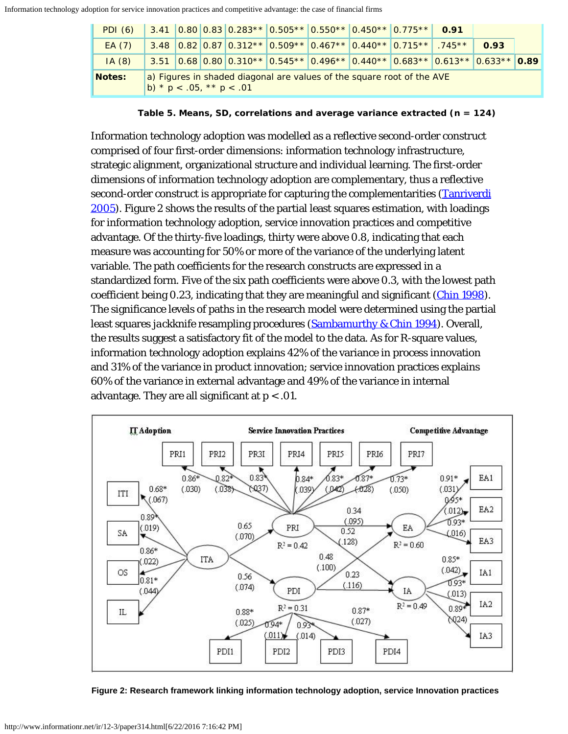| PDI (6)       |                                                                                                         |  |  |  |  | $3.41$ $ 0.80 0.83 0.283** 0.505** 0.550** 0.450** 0.775** 0.91$                                    |  |  |  |      |  |
|---------------|---------------------------------------------------------------------------------------------------------|--|--|--|--|-----------------------------------------------------------------------------------------------------|--|--|--|------|--|
| EA(7)         |                                                                                                         |  |  |  |  | $3.48$ 0.82 0.87 0.312** 0.509** 0.467** 0.440** 0.715** .745**                                     |  |  |  | 0.93 |  |
| IA(8)         |                                                                                                         |  |  |  |  | $3.51$ $0.68$ $0.80$ $0.310**$ $0.545**$ $0.496**$ $0.440**$ $0.683**$ $0.613**$ $0.633**$ $0.89**$ |  |  |  |      |  |
| <b>Notes:</b> | a) Figures in shaded diagonal are values of the square root of the AVE<br>b) * $p < .05$ , ** $p < .01$ |  |  |  |  |                                                                                                     |  |  |  |      |  |

**Table 5. Means, SD, correlations and average variance extracted (n = 124)**

Information technology adoption was modelled as a reflective second-order construct comprised of four first-order dimensions: information technology infrastructure, strategic alignment, organizational structure and individual learning. The first-order dimensions of information technology adoption are complementary, thus a reflective second-order construct is appropriate for capturing the complementarities [\(Tanriverdi](#page-24-15) [2005\)](#page-24-15). Figure 2 shows the results of the partial least squares estimation, with loadings for information technology adoption, service innovation practices and competitive advantage. Of the thirty-five loadings, thirty were above 0.8, indicating that each measure was accounting for 50% or more of the variance of the underlying latent variable. The path coefficients for the research constructs are expressed in a standardized form. Five of the six path coefficients were above 0.3, with the lowest path coefficient being 0.23, indicating that they are meaningful and significant (*Chin 1998*). The significance levels of paths in the research model were determined using the partial least squares *jackknife* resampling procedures [\(Sambamurthy & Chin 1994](#page-23-13)). Overall, the results suggest a satisfactory fit of the model to the data. As for R-square values, information technology adoption explains 42% of the variance in process innovation and 31% of the variance in product innovation; service innovation practices explains 60% of the variance in external advantage and 49% of the variance in internal advantage. They are all significant at  $p < 0.01$ .



**Figure 2: Research framework linking information technology adoption, service Innovation practices**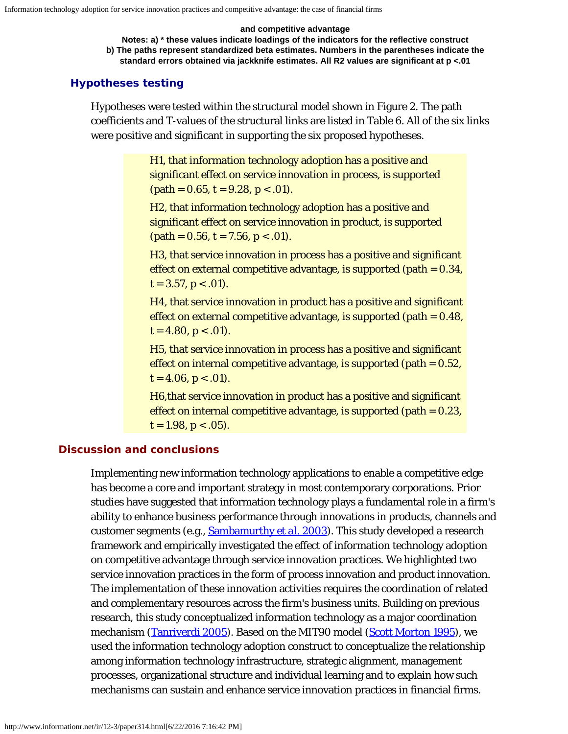#### **and competitive advantage**

**Notes: a) \* these values indicate loadings of the indicators for the reflective construct b) The paths represent standardized beta estimates. Numbers in the parentheses indicate the standard errors obtained via jackknife estimates. All R2 values are significant at p <.01**

### **Hypotheses testing**

Hypotheses were tested within the structural model shown in Figure 2. The path coefficients and T-values of the structural links are listed in Table 6. All of the six links were positive and significant in supporting the six proposed hypotheses.

> H1, that information technology adoption has a positive and significant effect on service innovation in process, is supported  $(path = 0.65, t = 9.28, p < .01).$

> H2, that information technology adoption has a positive and significant effect on service innovation in product, is supported  $(path = 0.56, t = 7.56, p < .01).$

H3, that service innovation in process has a positive and significant effect on external competitive advantage, is supported (path  $= 0.34$ ,  $t = 3.57, p < .01$ ).

H4, that service innovation in product has a positive and significant effect on external competitive advantage, is supported (path  $= 0.48$ ,  $t = 4.80, p < .01$ .

H5, that service innovation in process has a positive and significant effect on internal competitive advantage, is supported (path  $= 0.52$ ,  $t = 4.06, p < .01$ .

H6,that service innovation in product has a positive and significant effect on internal competitive advantage, is supported (path  $= 0.23$ ,  $t = 1.98, p < .05$ .

## **Discussion and conclusions**

Implementing new information technology applications to enable a competitive edge has become a core and important strategy in most contemporary corporations. Prior studies have suggested that information technology plays a fundamental role in a firm's ability to enhance business performance through innovations in products, channels and customer segments (e.g., [Sambamurthy](#page-23-0) *[et al.](#page-23-0)* [2003](#page-23-0)). This study developed a research framework and empirically investigated the effect of information technology adoption on competitive advantage through service innovation practices. We highlighted two service innovation practices in the form of process innovation and product innovation. The implementation of these innovation activities requires the coordination of related and complementary resources across the firm's business units. Building on previous research, this study conceptualized information technology as a major coordination mechanism [\(Tanriverdi 2005](#page-24-15)). Based on the MIT90 model [\(Scott Morton 1995](#page-24-2)), we used the information technology adoption construct to conceptualize the relationship among information technology infrastructure, strategic alignment, management processes, organizational structure and individual learning and to explain how such mechanisms can sustain and enhance service innovation practices in financial firms.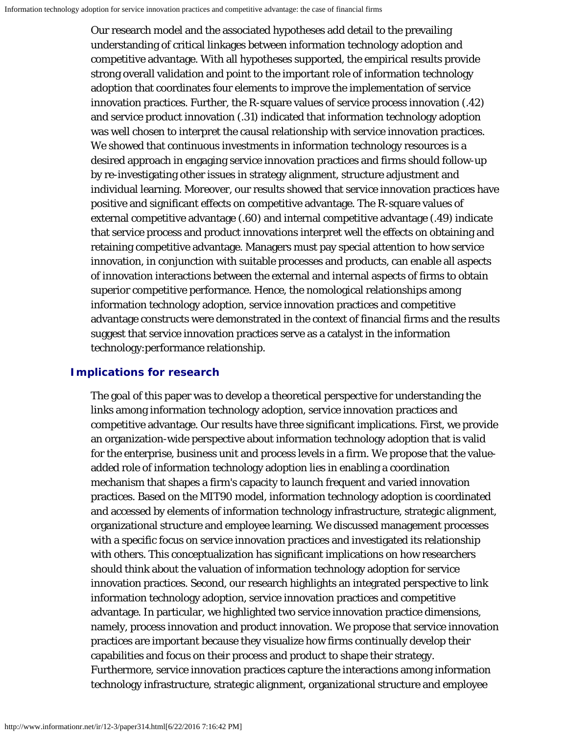Our research model and the associated hypotheses add detail to the prevailing understanding of critical linkages between information technology adoption and competitive advantage. With all hypotheses supported, the empirical results provide strong overall validation and point to the important role of information technology adoption that coordinates four elements to improve the implementation of service innovation practices. Further, the R-square values of service process innovation (.42) and service product innovation (.31) indicated that information technology adoption was well chosen to interpret the causal relationship with service innovation practices. We showed that continuous investments in information technology resources is a desired approach in engaging service innovation practices and firms should follow-up by re-investigating other issues in strategy alignment, structure adjustment and individual learning. Moreover, our results showed that service innovation practices have positive and significant effects on competitive advantage. The R-square values of external competitive advantage (.60) and internal competitive advantage (.49) indicate that service process and product innovations interpret well the effects on obtaining and retaining competitive advantage. Managers must pay special attention to how service innovation, in conjunction with suitable processes and products, can enable all aspects of innovation interactions between the external and internal aspects of firms to obtain superior competitive performance. Hence, the nomological relationships among information technology adoption, service innovation practices and competitive advantage constructs were demonstrated in the context of financial firms and the results suggest that service innovation practices serve as a catalyst in the information technology:performance relationship.

# **Implications for research**

The goal of this paper was to develop a theoretical perspective for understanding the links among information technology adoption, service innovation practices and competitive advantage. Our results have three significant implications. First, we provide an organization-wide perspective about information technology adoption that is valid for the enterprise, business unit and process levels in a firm. We propose that the valueadded role of information technology adoption lies in enabling a coordination mechanism that shapes a firm's capacity to launch frequent and varied innovation practices. Based on the MIT90 model, information technology adoption is coordinated and accessed by elements of information technology infrastructure, strategic alignment, organizational structure and employee learning. We discussed management processes with a specific focus on service innovation practices and investigated its relationship with others. This conceptualization has significant implications on how researchers should think about the valuation of information technology adoption for service innovation practices. Second, our research highlights an integrated perspective to link information technology adoption, service innovation practices and competitive advantage. In particular, we highlighted two service innovation practice dimensions, namely, process innovation and product innovation. We propose that service innovation practices are important because they visualize how firms continually develop their capabilities and focus on their process and product to shape their strategy. Furthermore, service innovation practices capture the interactions among information technology infrastructure, strategic alignment, organizational structure and employee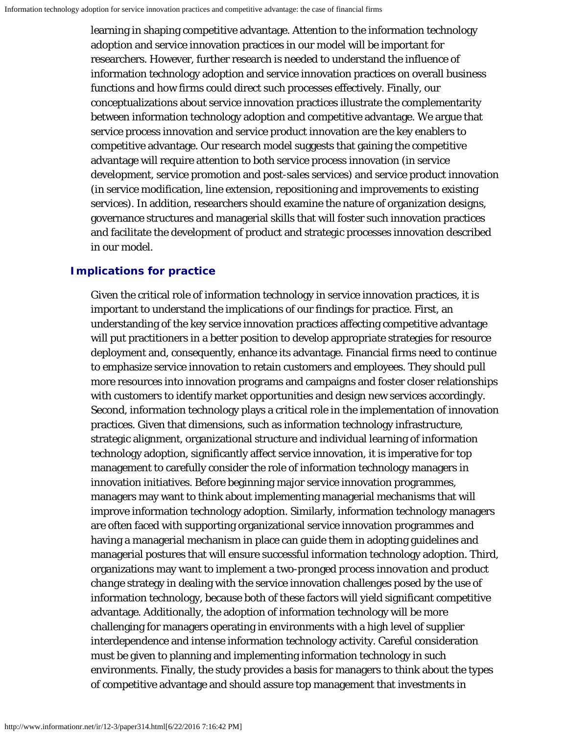learning in shaping competitive advantage. Attention to the information technology adoption and service innovation practices in our model will be important for researchers. However, further research is needed to understand the influence of information technology adoption and service innovation practices on overall business functions and how firms could direct such processes effectively. Finally, our conceptualizations about service innovation practices illustrate the complementarity between information technology adoption and competitive advantage. We argue that service process innovation and service product innovation are the key enablers to competitive advantage. Our research model suggests that gaining the competitive advantage will require attention to both service process innovation (in service development, service promotion and post-sales services) and service product innovation (in service modification, line extension, repositioning and improvements to existing services). In addition, researchers should examine the nature of organization designs, governance structures and managerial skills that will foster such innovation practices and facilitate the development of product and strategic processes innovation described in our model.

# **Implications for practice**

Given the critical role of information technology in service innovation practices, it is important to understand the implications of our findings for practice. First, an understanding of the key service innovation practices affecting competitive advantage will put practitioners in a better position to develop appropriate strategies for resource deployment and, consequently, enhance its advantage. Financial firms need to continue to emphasize service innovation to retain customers and employees. They should pull more resources into innovation programs and campaigns and foster closer relationships with customers to identify market opportunities and design new services accordingly. Second, information technology plays a critical role in the implementation of innovation practices. Given that dimensions, such as information technology infrastructure, strategic alignment, organizational structure and individual learning of information technology adoption, significantly affect service innovation, it is imperative for top management to carefully consider the role of information technology managers in innovation initiatives. Before beginning major service innovation programmes, managers may want to think about implementing managerial mechanisms that will improve information technology adoption. Similarly, information technology managers are often faced with supporting organizational service innovation programmes and having a managerial mechanism in place can guide them in adopting guidelines and managerial postures that will ensure successful information technology adoption. Third, organizations may want to implement a two-pronged *process innovation and product change* strategy in dealing with the service innovation challenges posed by the use of information technology, because both of these factors will yield significant competitive advantage. Additionally, the adoption of information technology will be more challenging for managers operating in environments with a high level of supplier interdependence and intense information technology activity. Careful consideration must be given to planning and implementing information technology in such environments. Finally, the study provides a basis for managers to think about the types of competitive advantage and should assure top management that investments in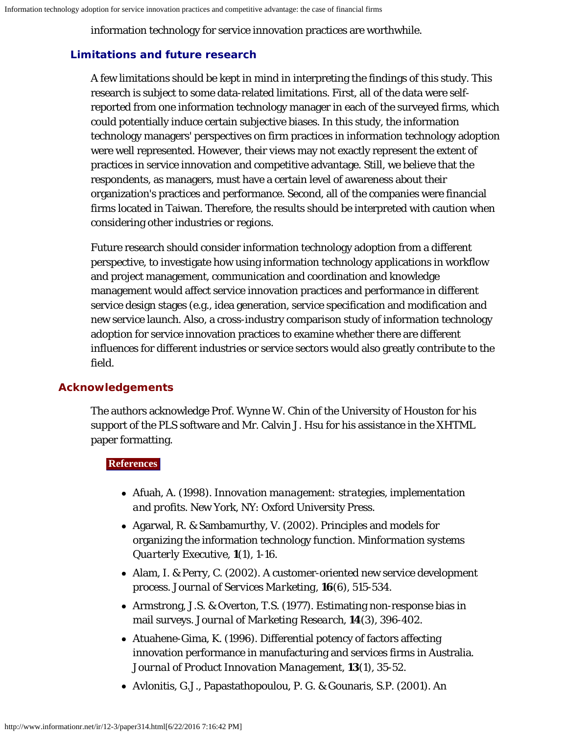information technology for service innovation practices are worthwhile.

# **Limitations and future research**

A few limitations should be kept in mind in interpreting the findings of this study. This research is subject to some data-related limitations. First, all of the data were selfreported from one information technology manager in each of the surveyed firms, which could potentially induce certain subjective biases. In this study, the information technology managers' perspectives on firm practices in information technology adoption were well represented. However, their views may not exactly represent the extent of practices in service innovation and competitive advantage. Still, we believe that the respondents, as managers, must have a certain level of awareness about their organization's practices and performance. Second, all of the companies were financial firms located in Taiwan. Therefore, the results should be interpreted with caution when considering other industries or regions.

Future research should consider information technology adoption from a different perspective, to investigate how using information technology applications in workflow and project management, communication and coordination and knowledge management would affect service innovation practices and performance in different service design stages (e.g., idea generation, service specification and modification and new service launch. Also, a cross-industry comparison study of information technology adoption for service innovation practices to examine whether there are different influences for different industries or service sectors would also greatly contribute to the field.

# **Acknowledgements**

The authors acknowledge Prof. Wynne W. Chin of the University of Houston for his support of the PLS software and Mr. Calvin J. Hsu for his assistance in the XHTML paper formatting.

## <span id="page-18-1"></span>**References**

- Afuah, A. (1998). *Innovation management: strategies, implementation and profits.* New York, NY: Oxford University Press.
- <span id="page-18-0"></span>Agarwal, R. & Sambamurthy, V. (2002). Principles and models for organizing the information technology function. *Minformation systems Quarterly Executive*, **1**(1), 1-16.
- <span id="page-18-2"></span>Alam, I. & Perry, C. (2002). A customer-oriented new service development process. *Journal of Services Marketing*, **16**(6), 515-534.
- <span id="page-18-5"></span>Armstrong, J.S. & Overton, T.S. (1977). Estimating non-response bias in mail surveys. *Journal of Marketing Research*, **14**(3), 396-402.
- <span id="page-18-3"></span>Atuahene-Gima, K. (1996). Differential potency of factors affecting innovation performance in manufacturing and services firms in Australia. *Journal of Product Innovation Management*, **13**(1), 35-52.
- <span id="page-18-4"></span>Avlonitis, G.J., Papastathopoulou, P. G. & Gounaris, S.P. (2001). An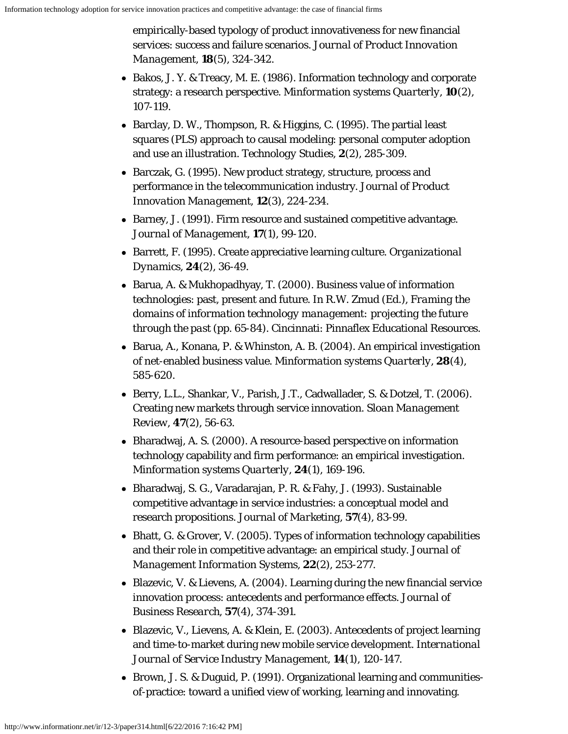empirically-based typology of product innovativeness for new financial services: success and failure scenarios. *Journal of Product Innovation Management*, **18**(5), 324-342.

- <span id="page-19-6"></span>• Bakos, J. Y. & Treacy, M. E. (1986). Information technology and corporate strategy: a research perspective. *Minformation systems Quarterly*, **10**(2), 107-119.
- <span id="page-19-13"></span>• Barclay, D. W., Thompson, R. & Higgins, C. (1995). The partial least squares (PLS) approach to causal modeling: personal computer adoption and use an illustration. *Technology Studies*, **2**(2), 285-309.
- <span id="page-19-4"></span>Barczak, G. (1995). New product strategy, structure, process and performance in the telecommunication industry. *Journal of Product Innovation Management*, **12**(3), 224-234.
- <span id="page-19-7"></span>Barney, J. (1991). Firm resource and sustained competitive advantage. *Journal of Management*, **17**(1), 99-120.
- <span id="page-19-11"></span>Barrett, F. (1995). Create appreciative learning culture. *Organizational Dynamics*, **24**(2), 36-49.
- <span id="page-19-0"></span>Barua, A. & Mukhopadhyay, T. (2000). Business value of information technologies: past, present and future. In R.W. Zmud (Ed.), *Framing the domains of information technology management: projecting the future through the past* (pp. 65-84). Cincinnati: Pinnaflex Educational Resources.
- <span id="page-19-12"></span>• Barua, A., Konana, P. & Whinston, A. B. (2004). An empirical investigation of net-enabled business value. *Minformation systems Quarterly*, **28**(4), 585-620.
- <span id="page-19-1"></span>Berry, L.L., Shankar, V., Parish, J.T., Cadwallader, S. & Dotzel, T. (2006). Creating new markets through service innovation. *Sloan Management Review*, **47**(2), 56-63.
- <span id="page-19-10"></span>• Bharadwaj, A. S. (2000). A resource-based perspective on information technology capability and firm performance: an empirical investigation. *Minformation systems Quarterly*, **24**(1), 169-196.
- <span id="page-19-2"></span>Bharadwaj, S. G., Varadarajan, P. R. & Fahy, J. (1993). Sustainable competitive advantage in service industries: a conceptual model and research propositions. *Journal of Marketing*, **57**(4), 83-99.
- <span id="page-19-8"></span>• Bhatt, G. & Grover, V. (2005). Types of information technology capabilities and their role in competitive advantage: an empirical study. *Journal of Management Information Systems*, **22**(2), 253-277.
- <span id="page-19-3"></span>• Blazevic, V. & Lievens, A. (2004). Learning during the new financial service innovation process: antecedents and performance effects. *Journal of Business Research*, **57**(4), 374-391.
- <span id="page-19-5"></span>Blazevic, V., Lievens, A. & Klein, E. (2003). Antecedents of project learning and time-to-market during new mobile service development. *International Journal of Service Industry Management*, **14**(1), 120-147.
- <span id="page-19-9"></span>Brown, J. S. & Duguid, P. (1991). Organizational learning and communitiesof-practice: toward a unified view of working, learning and innovating.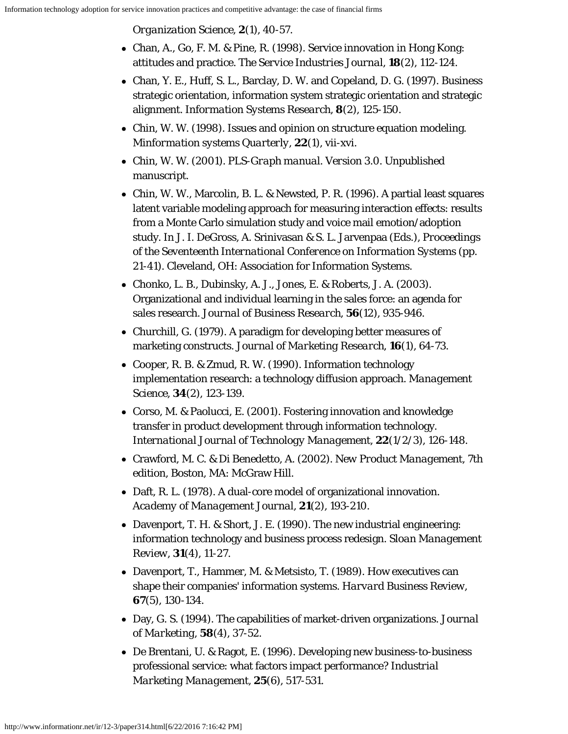*Organization Science*, **2**(1), 40-57.

- <span id="page-20-6"></span>Chan, A., Go, F. M. & Pine, R. (1998). Service innovation in Hong Kong: attitudes and practice. *The Service Industries Journal*, **18**(2), 112-124.
- <span id="page-20-3"></span>Chan, Y. E., Huff, S. L., Barclay, D. W. and Copeland, D. G. (1997). Business strategic orientation, information system strategic orientation and strategic alignment. *Information Systems Research*, **8**(2), 125-150.
- <span id="page-20-14"></span>Chin, W. W. (1998). Issues and opinion on structure equation modeling. *Minformation systems Quarterly*, **22**(1), vii-xvi.
- <span id="page-20-12"></span>Chin, W. W. (2001). *PLS-Graph manual. Version 3.0*. Unpublished manuscript.
- <span id="page-20-13"></span>Chin, W. W., Marcolin, B. L. & Newsted, P. R. (1996). A partial least squares latent variable modeling approach for measuring interaction effects: results from a Monte Carlo simulation study and voice mail emotion/adoption study. In J. I. DeGross, A. Srinivasan & S. L. Jarvenpaa (Eds.), *Proceedings of the Seventeenth International Conference on Information Systems* (pp. 21-41). Cleveland, OH: Association for Information Systems.
- <span id="page-20-9"></span>Chonko, L. B., Dubinsky, A. J., Jones, E. & Roberts, J. A. (2003). Organizational and individual learning in the sales force: an agenda for sales research. *Journal of Business Research*, **56**(12), 935-946.
- <span id="page-20-11"></span>Churchill, G. (1979). A paradigm for developing better measures of marketing constructs. *Journal of Marketing Research*, **16**(1), 64-73.
- <span id="page-20-1"></span>• Cooper, R. B. & Zmud, R. W. (1990). Information technology implementation research: a technology diffusion approach. *Management Science*, **34**(2), 123-139.
- <span id="page-20-0"></span>Corso, M. & Paolucci, E. (2001). Fostering innovation and knowledge transfer in product development through information technology. *International Journal of Technology Management*, **22**(1/2/3), 126-148.
- <span id="page-20-5"></span>Crawford, M. C. & Di Benedetto, A. (2002). *New Product Management*, 7th edition, Boston, MA: McGraw Hill.
- <span id="page-20-4"></span>• Daft, R. L. (1978). A dual-core model of organizational innovation. *Academy of Management Journal*, **21**(2), 193-210.
- <span id="page-20-10"></span>Davenport, T. H. & Short, J. E. (1990). The new industrial engineering: information technology and business process redesign. *Sloan Management Review*, **31**(4), 11-27.
- <span id="page-20-2"></span>Davenport, T., Hammer, M. & Metsisto, T. (1989). How executives can shape their companies' information systems. *Harvard Business Review*, **67**(5), 130-134.
- <span id="page-20-7"></span>Day, G. S. (1994). The capabilities of market-driven organizations. *Journal of Marketing*, **58**(4), 37-52.
- <span id="page-20-8"></span>De Brentani, U. & Ragot, E. (1996). Developing new business-to-business professional service: what factors impact performance? *Industrial Marketing Management*, **25**(6), 517-531.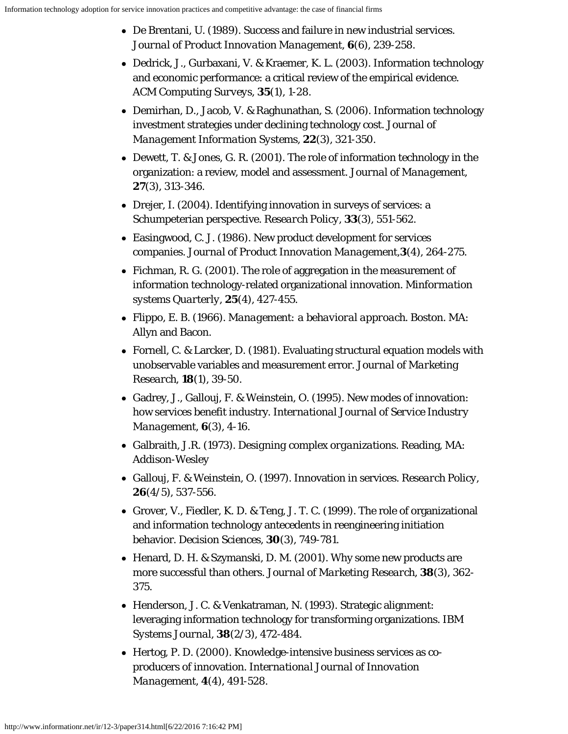- <span id="page-21-7"></span>De Brentani, U. (1989). Success and failure in new industrial services. *Journal of Product Innovation Management*, **6**(6), 239-258.
- <span id="page-21-1"></span>Dedrick, J., Gurbaxani, V. & Kraemer, K. L. (2003). Information technology and economic performance: a critical review of the empirical evidence. *ACM Computing Surveys*, **35**(1), 1-28.
- <span id="page-21-12"></span>• Demirhan, D., Jacob, V. & Raghunathan, S. (2006). Information technology investment strategies under declining technology cost. *Journal of Management Information Systems*, **22**(3), 321-350.
- <span id="page-21-0"></span>Dewett, T. & Jones, G. R. (2001). The role of information technology in the organization: a review, model and assessment. *Journal of Management*, **27**(3), 313-346.
- <span id="page-21-11"></span>Drejer, I. (2004). Identifying innovation in surveys of services: a Schumpeterian perspective. *Research Policy*, **33**(3), 551-562.
- <span id="page-21-6"></span>Easingwood, C. J. (1986). New product development for services companies. *Journal of Product Innovation Management*,**3**(4), 264-275.
- <span id="page-21-5"></span>• Fichman, R. G. (2001). The role of aggregation in the measurement of information technology-related organizational innovation. *Minformation systems Quarterly*, **25**(4), 427-455.
- <span id="page-21-14"></span>Flippo, E. B. (1966). *Management: a behavioral approach*. Boston. MA: Allyn and Bacon.
- <span id="page-21-15"></span>Fornell, C. & Larcker, D. (1981). Evaluating structural equation models with unobservable variables and measurement error. *Journal of Marketing Research*, **18**(1), 39-50.
- <span id="page-21-8"></span>Gadrey, J., Gallouj, F. & Weinstein, O. (1995). New modes of innovation: how services benefit industry. *International Journal of Service Industry Management*, **6**(3), 4-16.
- <span id="page-21-2"></span>Galbraith, J.R. (1973). *Designing complex organizations*. Reading, MA: Addison-Wesley
- <span id="page-21-9"></span>Gallouj, F. & Weinstein, O. (1997). Innovation in services. *Research Policy*, **26**(4/5), 537-556.
- <span id="page-21-4"></span>Grover, V., Fiedler, K. D. & Teng, J. T. C. (1999). The role of organizational and information technology antecedents in reengineering initiation behavior. *Decision Sciences*, **30**(3), 749-781.
- <span id="page-21-13"></span>• Henard, D. H. & Szymanski, D. M. (2001). Why some new products are more successful than others. *Journal of Marketing Research*, **38**(3), 362- 375.
- <span id="page-21-3"></span>Henderson, J. C. & Venkatraman, N. (1993). Strategic alignment: leveraging information technology for transforming organizations. *IBM Systems Journal*, **38**(2/3), 472-484.
- <span id="page-21-10"></span>Hertog, P. D. (2000). Knowledge-intensive business services as coproducers of innovation. *International Journal of Innovation Management*, **4**(4), 491-528.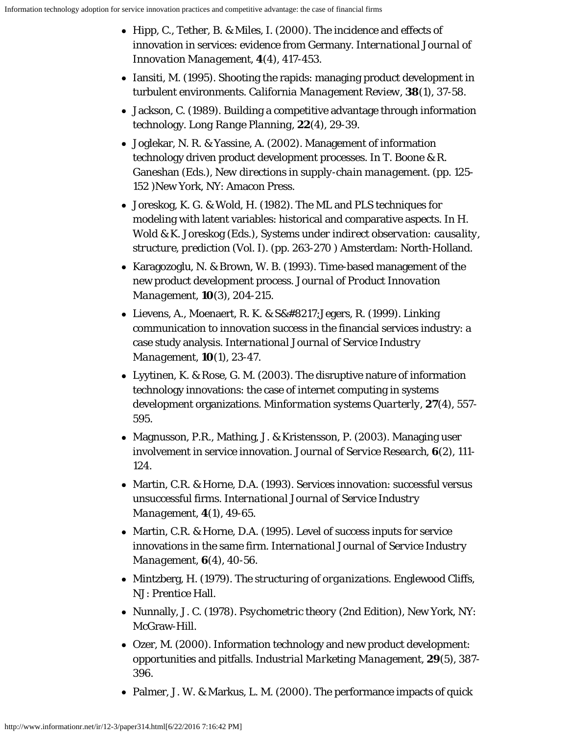- <span id="page-22-5"></span>Hipp, C., Tether, B. & Miles, I. (2000). The incidence and effects of innovation in services: evidence from Germany. *International Journal of Innovation Management*, **4**(4), 417-453.
- <span id="page-22-11"></span>• Iansiti, M. (1995). Shooting the rapids: managing product development in turbulent environments. *California Management Review*, **38**(1), 37-58.
- <span id="page-22-8"></span>Jackson, C. (1989). Building a competitive advantage through information technology. *Long Range Planning*, **22**(4), 29-39.
- <span id="page-22-7"></span>Joglekar, N. R. & Yassine, A. (2002). Management of information technology driven product development processes. In T. Boone & R. Ganeshan (Eds.), *New directions in supply-chain management*. (pp. 125- 152 )New York, NY: Amacon Press.
- <span id="page-22-13"></span>Joreskog, K. G. & Wold, H. (1982). The ML and PLS techniques for modeling with latent variables: historical and comparative aspects. In H. Wold & K. Joreskog (Eds.), *Systems under indirect observation: causality, structure, prediction* (Vol. I). (pp. 263-270 ) Amsterdam: North-Holland.
- <span id="page-22-9"></span>Karagozoglu, N. & Brown, W. B. (1993). Time-based management of the new product development process. *Journal of Product Innovation Management*, **10**(3), 204-215.
- <span id="page-22-4"></span>• Lievens, A., Moenaert, R. K. &  $S' Jegers, R. (1999)$ . Linking communication to innovation success in the financial services industry: a case study analysis. *International Journal of Service Industry Management*, **10**(1), 23-47.
- <span id="page-22-6"></span>Lyytinen, K. & Rose, G. M. (2003). The disruptive nature of information technology innovations: the case of internet computing in systems development organizations. *Minformation systems Quarterly*, **27**(4), 557- 595.
- <span id="page-22-1"></span>• Magnusson, P.R., Mathing, J. & Kristensson, P. (2003). Managing user involvement in service innovation. *Journal of Service Research*, **6**(2), 111- 124.
- <span id="page-22-2"></span>Martin, C.R. & Horne, D.A. (1993). Services innovation: successful versus unsuccessful firms. *International Journal of Service Industry Management*, **4**(1), 49-65.
- <span id="page-22-3"></span>• Martin, C.R. & Horne, D.A. (1995). Level of success inputs for service innovations in the same firm. *International Journal of Service Industry Management*, **6**(4), 40-56.
- <span id="page-22-12"></span>Mintzberg, H. (1979). *The structuring of organizations*. Englewood Cliffs, NJ: Prentice Hall.
- <span id="page-22-14"></span>Nunnally, J. C. (1978). *Psychometric theory* (2nd Edition), New York, NY: McGraw-Hill.
- <span id="page-22-10"></span>Ozer, M. (2000). Information technology and new product development: opportunities and pitfalls. *Industrial Marketing Management*, **29**(5), 387- 396.
- <span id="page-22-0"></span>• Palmer, J. W. & Markus, L. M. (2000). The performance impacts of quick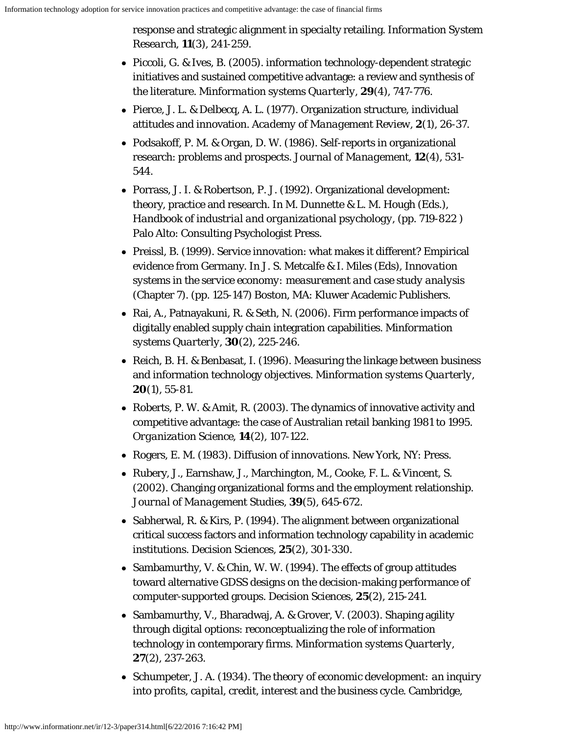response and strategic alignment in specialty retailing. *Information System Research*, **11**(3), 241-259.

- <span id="page-23-7"></span>Piccoli, G. & Ives, B. (2005). information technology-dependent strategic initiatives and sustained competitive advantage: a review and synthesis of the literature. *Minformation systems Quarterly*, **29**(4), 747-776.
- <span id="page-23-5"></span>Pierce, J. L. & Delbecq, A. L. (1977). Organization structure, individual attitudes and innovation. *Academy of Management Review*, **2**(1), 26-37.
- <span id="page-23-11"></span>Podsakoff, P. M. & Organ, D. W. (1986). Self-reports in organizational research: problems and prospects. *Journal of Management*, **12**(4), 531- 544.
- <span id="page-23-4"></span>Porrass, J. I. & Robertson, P. J. (1992). Organizational development: theory, practice and research. In M. Dunnette & L. M. Hough (Eds.), *Handbook of industrial and organizational psychology*, (pp. 719-822 ) Palo Alto: Consulting Psychologist Press.
- <span id="page-23-1"></span>Preissl, B. (1999). Service innovation: what makes it different? Empirical evidence from Germany. In J. S. Metcalfe & I. Miles (Eds), *Innovation systems in the service economy: measurement and case study analysis* (Chapter 7). (pp. 125-147) Boston, MA: Kluwer Academic Publishers.
- <span id="page-23-12"></span>• Rai, A., Patnayakuni, R. & Seth, N. (2006). Firm performance impacts of digitally enabled supply chain integration capabilities. *Minformation systems Quarterly*, **30**(2), 225-246.
- <span id="page-23-10"></span>• Reich, B. H. & Benbasat, I. (1996). Measuring the linkage between business and information technology objectives. *Minformation systems Quarterly*, **20**(1), 55-81.
- <span id="page-23-8"></span>• Roberts, P. W. & Amit, R. (2003). The dynamics of innovative activity and competitive advantage: the case of Australian retail banking 1981 to 1995. *Organization Science*, **14**(2), 107-122.
- <span id="page-23-2"></span>Rogers, E. M. (1983). *Diffusion of innovations*. New York, NY: Press.
- <span id="page-23-9"></span>Rubery, J., Earnshaw, J., Marchington, M., Cooke, F. L. & Vincent, S. (2002). Changing organizational forms and the employment relationship. *Journal of Management Studies*, **39**(5), 645-672.
- <span id="page-23-3"></span>• Sabherwal, R. & Kirs, P. (1994). The alignment between organizational critical success factors and information technology capability in academic institutions. *Decision Sciences*, **25**(2), 301-330.
- <span id="page-23-13"></span>• Sambamurthy, V. & Chin, W. W. (1994). The effects of group attitudes toward alternative GDSS designs on the decision-making performance of computer-supported groups. *Decision Sciences*, **25**(2), 215-241.
- <span id="page-23-0"></span>• Sambamurthy, V., Bharadwaj, A. & Grover, V. (2003). Shaping agility through digital options: reconceptualizing the role of information technology in contemporary firms. *Minformation systems Quarterly*, **27**(2), 237-263.
- <span id="page-23-6"></span>Schumpeter, J. A. (1934). *The theory of economic development: an inquiry into profits, capital, credit, interest and the business cycle*. Cambridge,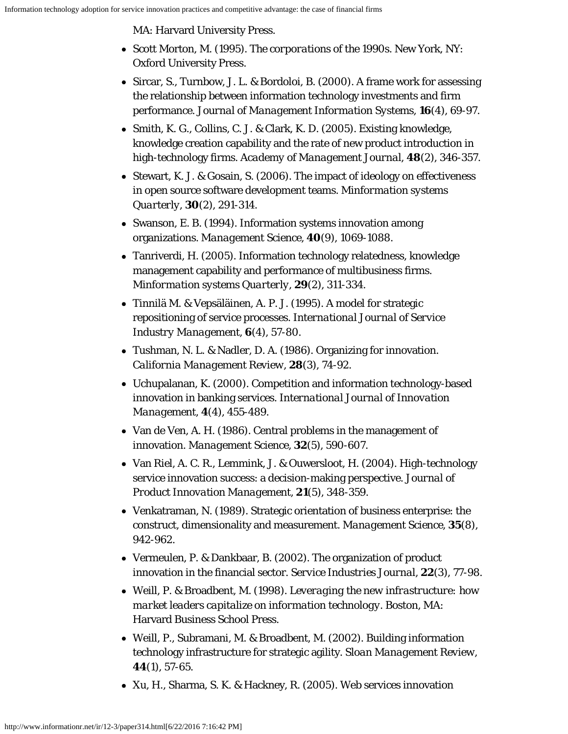MA: Harvard University Press.

- <span id="page-24-2"></span>Scott Morton, M. (1995). *The corporations of the 1990s*. New York, NY: Oxford University Press.
- <span id="page-24-12"></span>• Sircar, S., Turnbow, J. L. & Bordoloi, B. (2000). A frame work for assessing the relationship between information technology investments and firm performance. *Journal of Management Information Systems*, **16**(4), 69-97.
- <span id="page-24-11"></span>• Smith, K. G., Collins, C. J. & Clark, K. D. (2005). Existing knowledge, knowledge creation capability and the rate of new product introduction in high-technology firms. *Academy of Management Journal*, **48**(2), 346-357.
- <span id="page-24-14"></span>• Stewart, K. J. & Gosain, S. (2006). The impact of ideology on effectiveness in open source software development teams. *Minformation systems Quarterly*, **30**(2), 291-314.
- <span id="page-24-1"></span>• Swanson, E. B. (1994). Information systems innovation among organizations. *Management Science*, **40**(9), 1069-1088.
- <span id="page-24-15"></span>Tanriverdi, H. (2005). Information technology relatedness, knowledge management capability and performance of multibusiness firms. *Minformation systems Quarterly*, **29**(2), 311-334.
- <span id="page-24-8"></span>Tinnilä M. & Vepsäläinen, A. P. J. (1995). A model for strategic repositioning of service processes. *International Journal of Service Industry Management*, **6**(4), 57-80.
- <span id="page-24-5"></span>Tushman, N. L. & Nadler, D. A. (1986). Organizing for innovation. *California Management Review*, **28**(3), 74-92.
- <span id="page-24-7"></span>Uchupalanan, K. (2000). Competition and information technology-based innovation in banking services. *International Journal of Innovation Management*, **4**(4), 455-489.
- <span id="page-24-6"></span>• Van de Ven, A. H. (1986). Central problems in the management of innovation. *Management Science*, **32**(5), 590-607.
- <span id="page-24-10"></span>Van Riel, A. C. R., Lemmink, J. & Ouwersloot, H. (2004). High-technology service innovation success: a decision-making perspective. *Journal of Product Innovation Management*, **21**(5), 348-359.
- <span id="page-24-13"></span>Venkatraman, N. (1989). Strategic orientation of business enterprise: the construct, dimensionality and measurement. *Management Science*, **35**(8), 942-962.
- <span id="page-24-9"></span>Vermeulen, P. & Dankbaar, B. (2002). The organization of product innovation in the financial sector. *Service Industries Journal*, **22**(3), 77-98.
- <span id="page-24-3"></span>Weill, P. & Broadbent, M. (1998). *Leveraging the new infrastructure: how market leaders capitalize on information technology*. Boston, MA: Harvard Business School Press.
- <span id="page-24-4"></span>Weill, P., Subramani, M. & Broadbent, M. (2002). Building information technology infrastructure for strategic agility. *Sloan Management Review*, **44**(1), 57-65.
- <span id="page-24-0"></span>Xu, H., Sharma, S. K. & Hackney, R. (2005). Web services innovation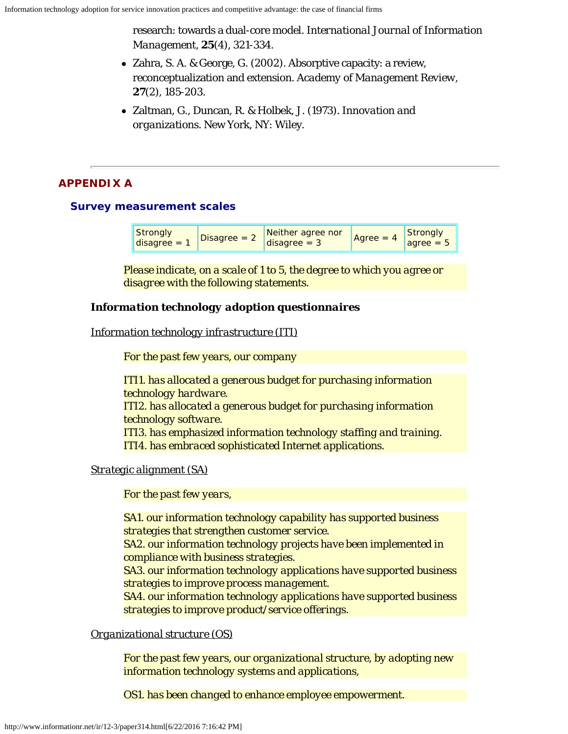research: towards a dual-core model. *International Journal of Information Management*, **25**(4), 321-334.

- <span id="page-25-1"></span>Zahra, S. A. & George, G. (2002). Absorptive capacity: a review, reconceptualization and extension. *Academy of Management Review*, **27**(2), 185-203.
- Zaltman, G., Duncan, R. & Holbek, J. (1973). *Innovation and organizations*. New York, NY: Wiley.

# <span id="page-25-0"></span>**APPENDIX A**

# **Survey measurement scales**

| Strongly<br>$ $ disagree = | Disagree $=$ 3 | Neither agree nor<br>disagree = $3$ | Agree $= 4$ | Strongly<br>agree $= 5$ |
|----------------------------|----------------|-------------------------------------|-------------|-------------------------|
|----------------------------|----------------|-------------------------------------|-------------|-------------------------|

*Please indicate, on a scale of 1 to 5, the degree to which you agree or disagree with the following statements.*

# *Information technology adoption questionnaires*

# *Information technology infrastructure (ITI)*

*For the past few years, our company*

*ITI1. has allocated a generous budget for purchasing information technology hardware. ITI2. has allocated a generous budget for purchasing information technology software. ITI3. has emphasized information technology staffing and training. ITI4. has embraced sophisticated Internet applications.*

*Strategic alignment (SA)*

*For the past few years,*

*SA1. our information technology capability has supported business strategies that strengthen customer service. SA2. our information technology projects have been implemented in compliance with business strategies. SA3. our information technology applications have supported business strategies to improve process management. SA4. our information technology applications have supported business strategies to improve product/service offerings.*

# *Organizational structure (OS)*

*For the past few years, our organizational structure, by adopting new information technology systems and applications,*

*OS1. has been changed to enhance employee empowerment.*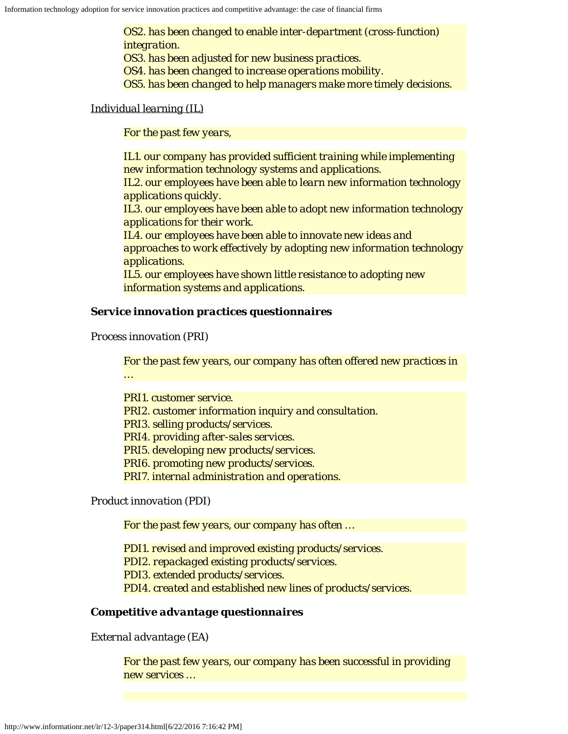*OS2. has been changed to enable inter-department (cross-function) integration. OS3. has been adjusted for new business practices. OS4. has been changed to increase operations mobility. OS5. has been changed to help managers make more timely decisions.*

### *Individual learning (IL)*

*For the past few years,*

*IL1. our company has provided sufficient training while implementing new information technology systems and applications. IL2. our employees have been able to learn new information technology applications quickly. IL3. our employees have been able to adopt new information technology applications for their work. IL4. our employees have been able to innovate new ideas and approaches to work effectively by adopting new information technology applications. IL5. our employees have shown little resistance to adopting new information systems and applications.*

### *Service innovation practices questionnaires*

*Process innovation (PRI)*

*For the past few years, our company has often offered new practices in …*

*PRI1. customer service. PRI2. customer information inquiry and consultation. PRI3. selling products/services. PRI4. providing after-sales services. PRI5. developing new products/services. PRI6. promoting new products/services. PRI7. internal administration and operations.*

*Product innovation (PDI)*

*For the past few years, our company has often …*

*PDI1. revised and improved existing products/services. PDI2. repackaged existing products/services. PDI3. extended products/services. PDI4. created and established new lines of products/services.*

## *Competitive advantage questionnaires*

*External advantage (EA)*

*For the past few years, our company has been successful in providing new services …*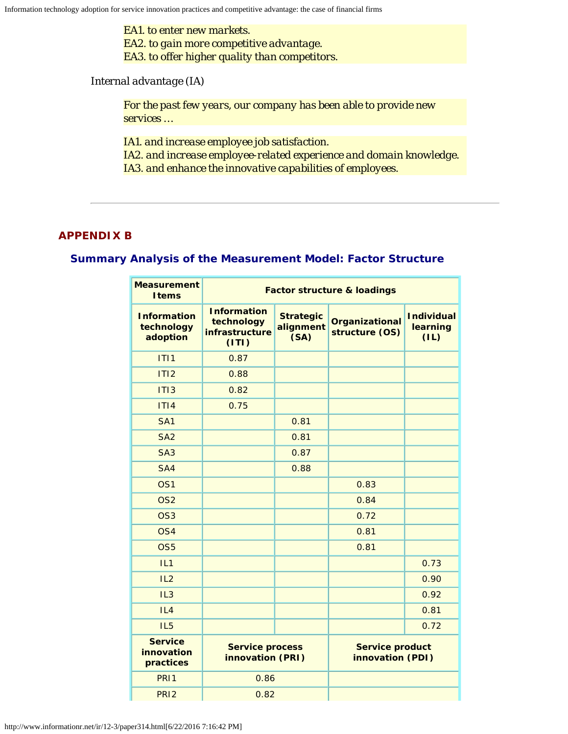*EA1. to enter new markets. EA2. to gain more competitive advantage. EA3. to offer higher quality than competitors.*

*Internal advantage (IA)*

*For the past few years, our company has been able to provide new services …*

*IA1. and increase employee job satisfaction.*

*IA2. and increase employee-related experience and domain knowledge. IA3. and enhance the innovative capabilities of employees.*

## <span id="page-27-0"></span>**APPENDIX B**

## **Summary Analysis of the Measurement Model: Factor Structure**

| <b>Measurement</b><br><b>I</b> tems          | <b>Factor structure &amp; loadings</b>                      |                                       |                                            |                                       |
|----------------------------------------------|-------------------------------------------------------------|---------------------------------------|--------------------------------------------|---------------------------------------|
| <b>Information</b><br>technology<br>adoption | <b>Information</b><br>technology<br>infrastructure<br>(1T1) | <b>Strategic</b><br>alignment<br>(SA) | Organizational<br>structure (OS)           | <b>Individual</b><br>learning<br>(IL) |
| ITI1                                         | 0.87                                                        |                                       |                                            |                                       |
| ITI2                                         | 0.88                                                        |                                       |                                            |                                       |
| ITI3                                         | 0.82                                                        |                                       |                                            |                                       |
| ITI4                                         | 0.75                                                        |                                       |                                            |                                       |
| SA <sub>1</sub>                              |                                                             | 0.81                                  |                                            |                                       |
| SA <sub>2</sub>                              |                                                             | 0.81                                  |                                            |                                       |
| SA <sub>3</sub>                              |                                                             | 0.87                                  |                                            |                                       |
| SA4                                          |                                                             | 0.88                                  |                                            |                                       |
| OS <sub>1</sub>                              |                                                             |                                       | 0.83                                       |                                       |
| OS <sub>2</sub>                              |                                                             |                                       | 0.84                                       |                                       |
| OS <sub>3</sub>                              |                                                             |                                       | 0.72                                       |                                       |
| OS <sub>4</sub>                              |                                                             |                                       | 0.81                                       |                                       |
| OS <sub>5</sub>                              |                                                             |                                       | 0.81                                       |                                       |
| IL1                                          |                                                             |                                       |                                            | 0.73                                  |
| IL2                                          |                                                             |                                       |                                            | 0.90                                  |
| IL3                                          |                                                             |                                       |                                            | 0.92                                  |
| IL4                                          |                                                             |                                       |                                            | 0.81                                  |
| IL <sub>5</sub>                              |                                                             |                                       |                                            | 0.72                                  |
| <b>Service</b><br>innovation<br>practices    | <b>Service process</b><br>innovation (PRI)                  |                                       | <b>Service product</b><br>innovation (PDI) |                                       |
| PRI1                                         | 0.86                                                        |                                       |                                            |                                       |
| PRI <sub>2</sub>                             | 0.82                                                        |                                       |                                            |                                       |